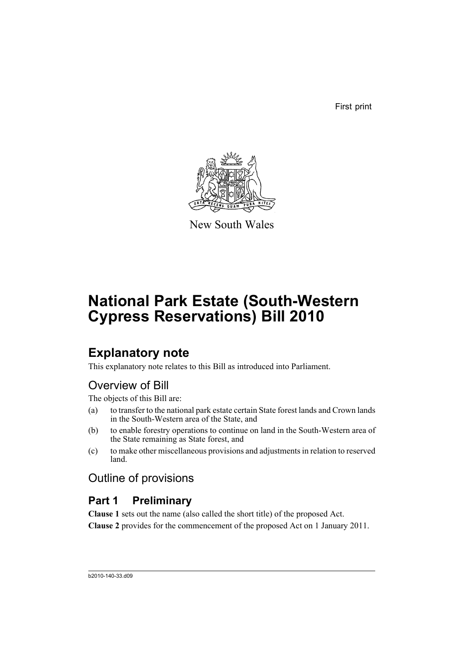First print



New South Wales

# **National Park Estate (South-Western Cypress Reservations) Bill 2010**

# **Explanatory note**

This explanatory note relates to this Bill as introduced into Parliament.

# Overview of Bill

The objects of this Bill are:

- (a) to transfer to the national park estate certain State forest lands and Crown lands in the South-Western area of the State, and
- (b) to enable forestry operations to continue on land in the South-Western area of the State remaining as State forest, and
- (c) to make other miscellaneous provisions and adjustments in relation to reserved land.

Outline of provisions

# **Part 1 Preliminary**

**Clause 1** sets out the name (also called the short title) of the proposed Act.

**Clause 2** provides for the commencement of the proposed Act on 1 January 2011.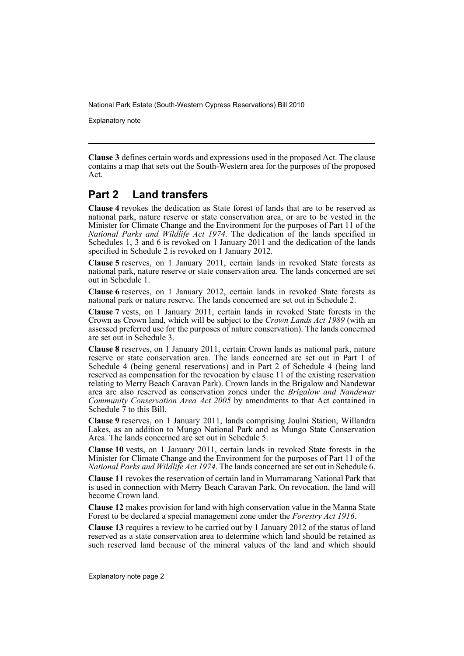Explanatory note

**Clause 3** defines certain words and expressions used in the proposed Act. The clause contains a map that sets out the South-Western area for the purposes of the proposed Act.

# **Part 2 Land transfers**

**Clause 4** revokes the dedication as State forest of lands that are to be reserved as national park, nature reserve or state conservation area, or are to be vested in the Minister for Climate Change and the Environment for the purposes of Part 11 of the *National Parks and Wildlife Act 1974*. The dedication of the lands specified in Schedules 1, 3 and 6 is revoked on 1 January 2011 and the dedication of the lands specified in Schedule 2 is revoked on 1 January 2012.

**Clause 5** reserves, on 1 January 2011, certain lands in revoked State forests as national park, nature reserve or state conservation area. The lands concerned are set out in Schedule 1.

**Clause 6** reserves, on 1 January 2012, certain lands in revoked State forests as national park or nature reserve. The lands concerned are set out in Schedule 2.

**Clause 7** vests, on 1 January 2011, certain lands in revoked State forests in the Crown as Crown land, which will be subject to the *Crown Lands Act 1989* (with an assessed preferred use for the purposes of nature conservation). The lands concerned are set out in Schedule 3.

**Clause 8** reserves, on 1 January 2011, certain Crown lands as national park, nature reserve or state conservation area. The lands concerned are set out in Part 1 of Schedule 4 (being general reservations) and in Part 2 of Schedule 4 (being land reserved as compensation for the revocation by clause 11 of the existing reservation relating to Merry Beach Caravan Park). Crown lands in the Brigalow and Nandewar area are also reserved as conservation zones under the *Brigalow and Nandewar Community Conservation Area Act 2005* by amendments to that Act contained in Schedule 7 to this Bill.

**Clause 9** reserves, on 1 January 2011, lands comprising Joulni Station, Willandra Lakes, as an addition to Mungo National Park and as Mungo State Conservation Area. The lands concerned are set out in Schedule 5.

**Clause 10** vests, on 1 January 2011, certain lands in revoked State forests in the Minister for Climate Change and the Environment for the purposes of Part 11 of the *National Parks and Wildlife Act 1974*. The lands concerned are set out in Schedule 6.

**Clause 11** revokes the reservation of certain land in Murramarang National Park that is used in connection with Merry Beach Caravan Park. On revocation, the land will become Crown land.

**Clause 12** makes provision for land with high conservation value in the Manna State Forest to be declared a special management zone under the *Forestry Act 1916*.

**Clause 13** requires a review to be carried out by 1 January 2012 of the status of land reserved as a state conservation area to determine which land should be retained as such reserved land because of the mineral values of the land and which should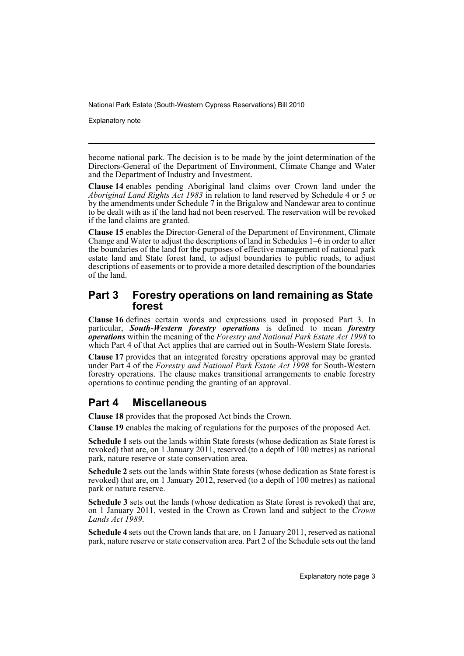Explanatory note

become national park. The decision is to be made by the joint determination of the Directors-General of the Department of Environment, Climate Change and Water and the Department of Industry and Investment.

**Clause 14** enables pending Aboriginal land claims over Crown land under the *Aboriginal Land Rights Act 1983* in relation to land reserved by Schedule 4 or 5 or by the amendments under Schedule 7 in the Brigalow and Nandewar area to continue to be dealt with as if the land had not been reserved. The reservation will be revoked if the land claims are granted.

**Clause 15** enables the Director-General of the Department of Environment, Climate Change and Water to adjust the descriptions of land in Schedules 1–6 in order to alter the boundaries of the land for the purposes of effective management of national park estate land and State forest land, to adjust boundaries to public roads, to adjust descriptions of easements or to provide a more detailed description of the boundaries of the land.

# **Part 3 Forestry operations on land remaining as State forest**

**Clause 16** defines certain words and expressions used in proposed Part 3. In particular, *South-Western forestry operations* is defined to mean *forestry operations* within the meaning of the *Forestry and National Park Estate Act 1998* to which Part 4 of that Act applies that are carried out in South-Western State forests.

**Clause 17** provides that an integrated forestry operations approval may be granted under Part 4 of the *Forestry and National Park Estate Act 1998* for South-Western forestry operations. The clause makes transitional arrangements to enable forestry operations to continue pending the granting of an approval.

# **Part 4 Miscellaneous**

**Clause 18** provides that the proposed Act binds the Crown.

**Clause 19** enables the making of regulations for the purposes of the proposed Act.

**Schedule 1** sets out the lands within State forests (whose dedication as State forest is revoked) that are, on 1 January 2011, reserved (to a depth of 100 metres) as national park, nature reserve or state conservation area.

**Schedule 2** sets out the lands within State forests (whose dedication as State forest is revoked) that are, on 1 January 2012, reserved (to a depth of 100 metres) as national park or nature reserve.

**Schedule 3** sets out the lands (whose dedication as State forest is revoked) that are, on 1 January 2011, vested in the Crown as Crown land and subject to the *Crown Lands Act 1989*.

**Schedule 4** sets out the Crown lands that are, on 1 January 2011, reserved as national park, nature reserve or state conservation area. Part 2 of the Schedule sets out the land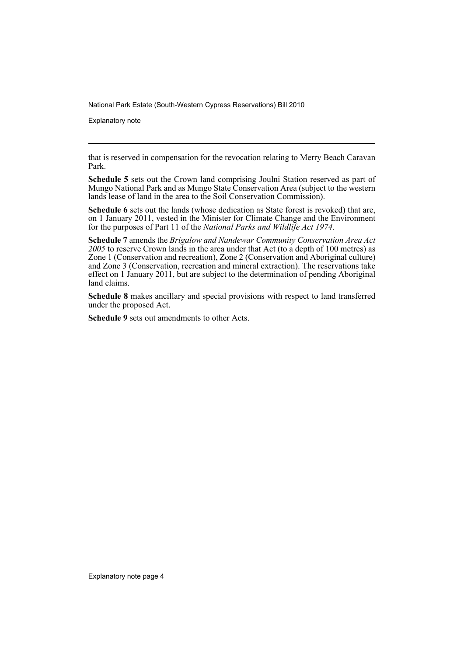Explanatory note

that is reserved in compensation for the revocation relating to Merry Beach Caravan Park.

**Schedule 5** sets out the Crown land comprising Joulni Station reserved as part of Mungo National Park and as Mungo State Conservation Area (subject to the western lands lease of land in the area to the Soil Conservation Commission).

**Schedule 6** sets out the lands (whose dedication as State forest is revoked) that are, on 1 January 2011, vested in the Minister for Climate Change and the Environment for the purposes of Part 11 of the *National Parks and Wildlife Act 1974*.

**Schedule 7** amends the *Brigalow and Nandewar Community Conservation Area Act 2005* to reserve Crown lands in the area under that Act (to a depth of 100 metres) as Zone 1 (Conservation and recreation), Zone 2 (Conservation and Aboriginal culture) and Zone 3 (Conservation, recreation and mineral extraction). The reservations take effect on 1 January 2011, but are subject to the determination of pending Aboriginal land claims.

**Schedule 8** makes ancillary and special provisions with respect to land transferred under the proposed Act.

**Schedule 9** sets out amendments to other Acts.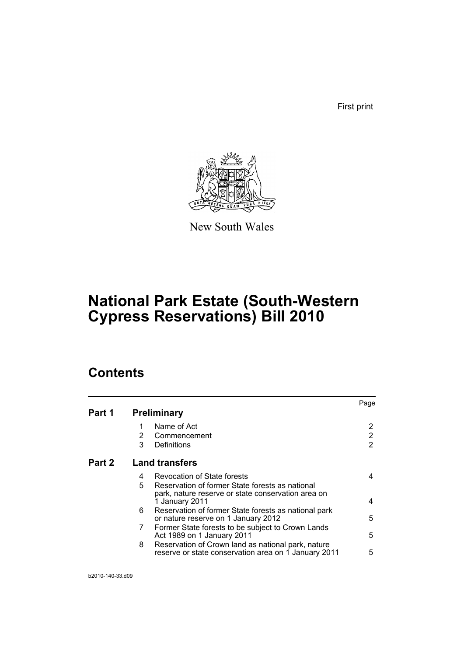First print



New South Wales

# **National Park Estate (South-Western Cypress Reservations) Bill 2010**

# **Contents**

|   |                                                                                                                         | Page                                        |
|---|-------------------------------------------------------------------------------------------------------------------------|---------------------------------------------|
|   |                                                                                                                         |                                             |
|   | Name of Act                                                                                                             |                                             |
| 2 | Commencement                                                                                                            | 2                                           |
| 3 | Definitions                                                                                                             | 2                                           |
|   |                                                                                                                         |                                             |
| 4 | <b>Revocation of State forests</b>                                                                                      | 4                                           |
| 5 | Reservation of former State forests as national<br>park, nature reserve or state conservation area on<br>1 January 2011 | 4                                           |
| 6 | Reservation of former State forests as national park<br>or nature reserve on 1 January 2012                             | 5                                           |
| 7 | Former State forests to be subject to Crown Lands<br>Act 1989 on 1 January 2011                                         | 5                                           |
| 8 | Reservation of Crown land as national park, nature<br>reserve or state conservation area on 1 January 2011              | 5                                           |
|   |                                                                                                                         | <b>Preliminary</b><br><b>Land transfers</b> |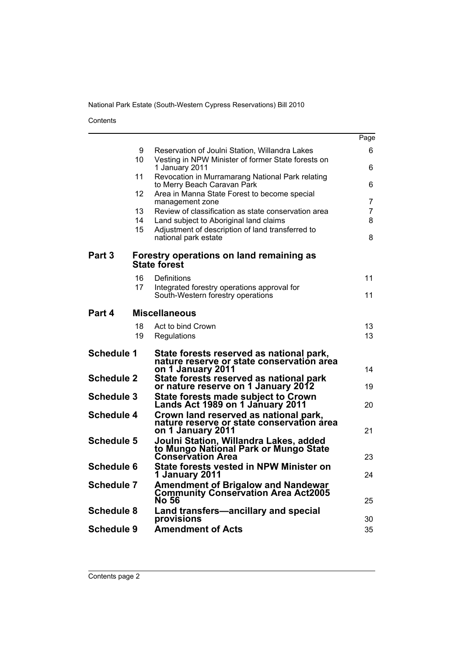Contents

|                   |         |                                                                                                            | Page |
|-------------------|---------|------------------------------------------------------------------------------------------------------------|------|
|                   | 9<br>10 | Reservation of Joulni Station, Willandra Lakes<br>Vesting in NPW Minister of former State forests on       | 6.   |
|                   | 11      | 1 January 2011                                                                                             | 6    |
|                   |         | Revocation in Murramarang National Park relating<br>to Merry Beach Caravan Park                            | 6    |
|                   | 12      | Area in Manna State Forest to become special<br>management zone                                            | 7    |
|                   | 13      | Review of classification as state conservation area                                                        | 7    |
|                   | 14      | Land subject to Aboriginal land claims                                                                     | 8    |
|                   | 15      | Adjustment of description of land transferred to<br>national park estate                                   | 8    |
| Part <sub>3</sub> |         | Forestry operations on land remaining as<br><b>State forest</b>                                            |      |
|                   | 16      | Definitions                                                                                                | 11   |
|                   | 17      | Integrated forestry operations approval for<br>South-Western forestry operations                           | 11   |
|                   |         |                                                                                                            |      |
| Part 4            |         | <b>Miscellaneous</b>                                                                                       |      |
|                   | 18      | Act to bind Crown                                                                                          | 13   |
|                   | 19      | Regulations                                                                                                | 13   |
| <b>Schedule 1</b> |         | State forests reserved as national park,<br>nature reserve or state conservation area<br>on 1 January 2011 | 14   |
| <b>Schedule 2</b> |         | State forests reserved as national park                                                                    |      |
| <b>Schedule 3</b> |         | or nature reserve on 1 January 2012                                                                        | 19   |
|                   |         | State forests made subject to Crown<br>Lands Act 1989 on 1 January 2011                                    | 20   |
| <b>Schedule 4</b> |         | Crown land reserved as national park,                                                                      |      |
|                   |         | nature reserve or state conservation área<br>on 1 January 2011                                             | 21   |
| <b>Schedule 5</b> |         | Joulni Station, Willandra Lakes, added                                                                     |      |
|                   |         | to Mungo National Park or Mungo State<br><b>Conservation Area</b>                                          | 23   |
| <b>Schedule 6</b> |         | State forests vested in NPW Minister on<br>1 January 2011                                                  | 24   |
| <b>Schedule 7</b> |         | Amendment of Brigalow and Nandewar<br><b>Community Conservation Area Act2005</b><br><b>No 56</b>           | 25   |
| <b>Schedule 8</b> |         | Land transfers-ancillary and special<br>provisions                                                         | 30   |
| Schedule 9        |         | <b>Amendment of Acts</b>                                                                                   | 35   |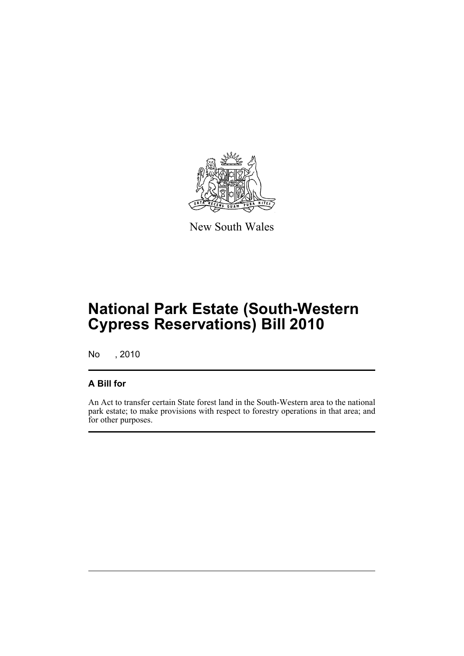

New South Wales

# **National Park Estate (South-Western Cypress Reservations) Bill 2010**

No , 2010

# **A Bill for**

An Act to transfer certain State forest land in the South-Western area to the national park estate; to make provisions with respect to forestry operations in that area; and for other purposes.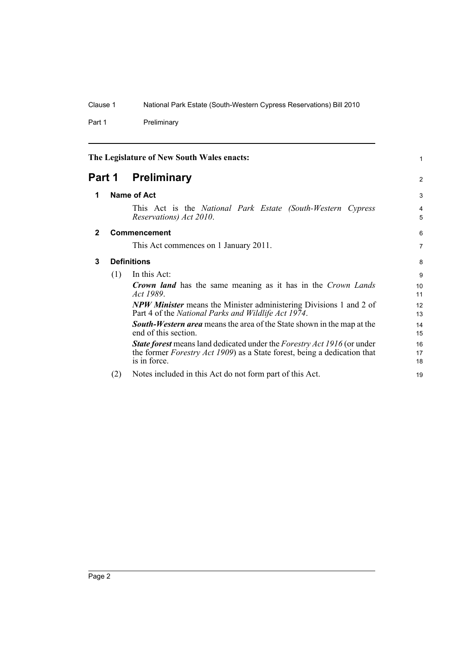Part 1 Preliminary

<span id="page-7-3"></span><span id="page-7-2"></span><span id="page-7-1"></span><span id="page-7-0"></span>

| The Legislature of New South Wales enacts: |     |                                                                                                                                                                                           | 1                   |
|--------------------------------------------|-----|-------------------------------------------------------------------------------------------------------------------------------------------------------------------------------------------|---------------------|
| Part 1                                     |     | <b>Preliminary</b>                                                                                                                                                                        | 2                   |
| 1                                          |     | Name of Act                                                                                                                                                                               |                     |
|                                            |     | This Act is the National Park Estate (South-Western Cypress<br>Reservations) Act 2010.                                                                                                    | $\overline{4}$<br>5 |
| $\mathbf{2}$                               |     | <b>Commencement</b>                                                                                                                                                                       | 6                   |
|                                            |     | This Act commences on 1 January 2011.                                                                                                                                                     | 7                   |
| 3                                          |     | <b>Definitions</b>                                                                                                                                                                        |                     |
|                                            | (1) | In this Act:                                                                                                                                                                              | 9                   |
|                                            |     | <b>Crown land</b> has the same meaning as it has in the Crown Lands<br>Act 1989.                                                                                                          | 10<br>11            |
|                                            |     | <b>NPW Minister</b> means the Minister administering Divisions 1 and 2 of<br>Part 4 of the National Parks and Wildlife Act 1974.                                                          | 12<br>13            |
|                                            |     | <b>South-Western area</b> means the area of the State shown in the map at the<br>end of this section.                                                                                     | 14<br>15            |
|                                            |     | <b>State forest</b> means land dedicated under the <i>Forestry Act 1916</i> (or under<br>the former <i>Forestry Act 1909</i> ) as a State forest, being a dedication that<br>is in force. | 16<br>17<br>18      |
|                                            | (2) | Notes included in this Act do not form part of this Act.                                                                                                                                  | 19                  |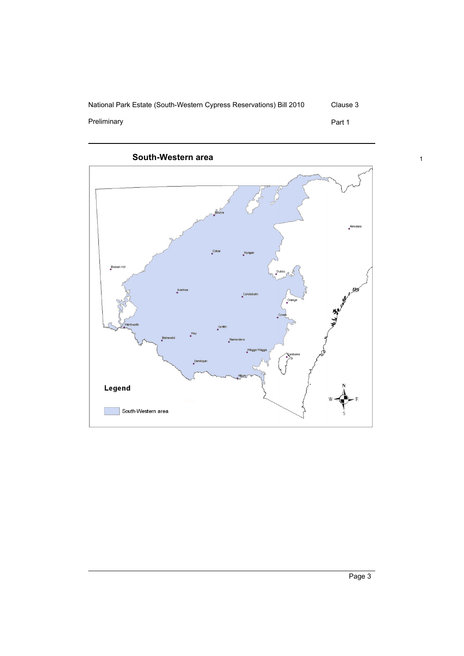



Preliminary **Preliminary Part 1** 



Page 3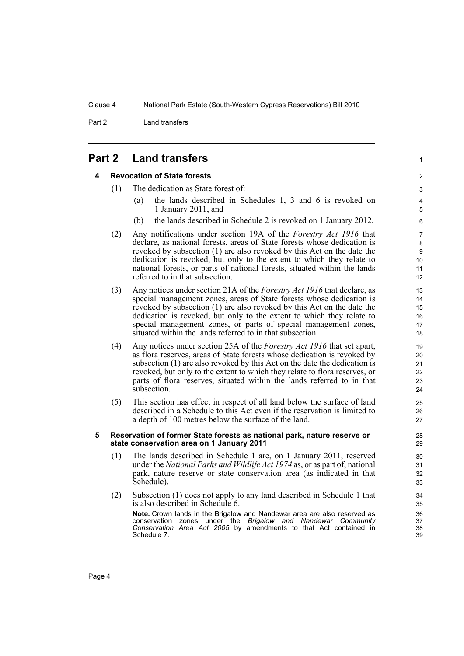Part 2 Land transfers

<span id="page-9-1"></span><span id="page-9-0"></span>

## **4 Revocation of State forests**

- (1) The dedication as State forest of:
	- (a) the lands described in Schedules 1, 3 and 6 is revoked on 1 January 2011, and

1

- (b) the lands described in Schedule 2 is revoked on 1 January 2012.
- (2) Any notifications under section 19A of the *Forestry Act 1916* that declare, as national forests, areas of State forests whose dedication is revoked by subsection (1) are also revoked by this Act on the date the dedication is revoked, but only to the extent to which they relate to national forests, or parts of national forests, situated within the lands referred to in that subsection.
- (3) Any notices under section 21A of the *Forestry Act 1916* that declare, as special management zones, areas of State forests whose dedication is revoked by subsection (1) are also revoked by this Act on the date the dedication is revoked, but only to the extent to which they relate to special management zones, or parts of special management zones, situated within the lands referred to in that subsection.
- (4) Any notices under section 25A of the *Forestry Act 1916* that set apart, as flora reserves, areas of State forests whose dedication is revoked by subsection (1) are also revoked by this Act on the date the dedication is revoked, but only to the extent to which they relate to flora reserves, or parts of flora reserves, situated within the lands referred to in that subsection.
- (5) This section has effect in respect of all land below the surface of land described in a Schedule to this Act even if the reservation is limited to a depth of 100 metres below the surface of the land.

#### <span id="page-9-2"></span>**5 Reservation of former State forests as national park, nature reserve or state conservation area on 1 January 2011**

- (1) The lands described in Schedule 1 are, on 1 January 2011, reserved under the *National Parks and Wildlife Act 1974* as, or as part of, national park, nature reserve or state conservation area (as indicated in that Schedule).
- (2) Subsection (1) does not apply to any land described in Schedule 1 that is also described in Schedule 6.

**Note.** Crown lands in the Brigalow and Nandewar area are also reserved as conservation zones under the *Brigalow and Nandewar Community Conservation Area Act 2005* by amendments to that Act contained in Schedule 7.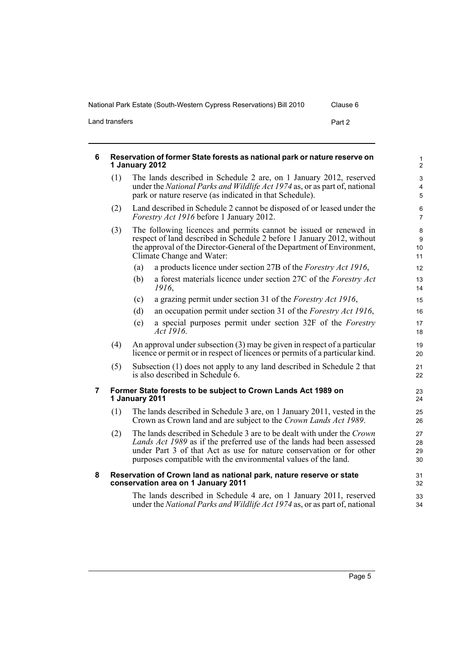Land transfers Part 2

<span id="page-10-2"></span><span id="page-10-1"></span><span id="page-10-0"></span>

| 6 | Reservation of former State forests as national park or nature reserve on<br>1 January 2012 |                                                                                                                    |                                                                                                                                                                                                                                                                                           |                          |
|---|---------------------------------------------------------------------------------------------|--------------------------------------------------------------------------------------------------------------------|-------------------------------------------------------------------------------------------------------------------------------------------------------------------------------------------------------------------------------------------------------------------------------------------|--------------------------|
|   | (1)                                                                                         |                                                                                                                    | The lands described in Schedule 2 are, on 1 January 2012, reserved<br>under the National Parks and Wildlife Act 1974 as, or as part of, national<br>park or nature reserve (as indicated in that Schedule).                                                                               | 3<br>$\overline{4}$<br>5 |
|   | (2)                                                                                         | Land described in Schedule 2 cannot be disposed of or leased under the<br>Forestry Act 1916 before 1 January 2012. |                                                                                                                                                                                                                                                                                           |                          |
|   | (3)                                                                                         |                                                                                                                    | The following licences and permits cannot be issued or renewed in<br>respect of land described in Schedule 2 before 1 January 2012, without<br>the approval of the Director-General of the Department of Environment,<br>Climate Change and Water:                                        | 8<br>9<br>10<br>11       |
|   |                                                                                             | (a)                                                                                                                | a products licence under section 27B of the <i>Forestry Act 1916</i> ,                                                                                                                                                                                                                    | 12                       |
|   |                                                                                             | (b)                                                                                                                | a forest materials licence under section 27C of the Forestry Act<br>1916,                                                                                                                                                                                                                 | 13<br>14                 |
|   |                                                                                             | (c)                                                                                                                | a grazing permit under section 31 of the <i>Forestry Act 1916</i> ,                                                                                                                                                                                                                       | 15                       |
|   |                                                                                             | (d)                                                                                                                | an occupation permit under section 31 of the Forestry Act 1916,                                                                                                                                                                                                                           | 16                       |
|   |                                                                                             | (e)                                                                                                                | a special purposes permit under section 32F of the Forestry<br>Act 1916.                                                                                                                                                                                                                  | 17<br>18                 |
|   | (4)                                                                                         |                                                                                                                    | An approval under subsection $(3)$ may be given in respect of a particular<br>licence or permit or in respect of licences or permits of a particular kind.                                                                                                                                | 19<br>20                 |
|   | (5)                                                                                         |                                                                                                                    | Subsection (1) does not apply to any land described in Schedule 2 that<br>is also described in Schedule 6.                                                                                                                                                                                | 21<br>22                 |
| 7 |                                                                                             | 1 January 2011                                                                                                     | Former State forests to be subject to Crown Lands Act 1989 on                                                                                                                                                                                                                             | 23<br>24                 |
|   | (1)                                                                                         |                                                                                                                    | The lands described in Schedule 3 are, on 1 January 2011, vested in the<br>Crown as Crown land and are subject to the Crown Lands Act 1989.                                                                                                                                               | 25<br>26                 |
|   | (2)                                                                                         |                                                                                                                    | The lands described in Schedule 3 are to be dealt with under the Crown<br>Lands Act 1989 as if the preferred use of the lands had been assessed<br>under Part 3 of that Act as use for nature conservation or for other<br>purposes compatible with the environmental values of the land. | 27<br>28<br>29<br>30     |
| 8 |                                                                                             |                                                                                                                    | Reservation of Crown land as national park, nature reserve or state<br>conservation area on 1 January 2011                                                                                                                                                                                | 31<br>32                 |
|   |                                                                                             |                                                                                                                    | The lands described in Schedule 4 are, on 1 January 2011, reserved<br>under the National Parks and Wildlife Act 1974 as, or as part of, national                                                                                                                                          | 33<br>34                 |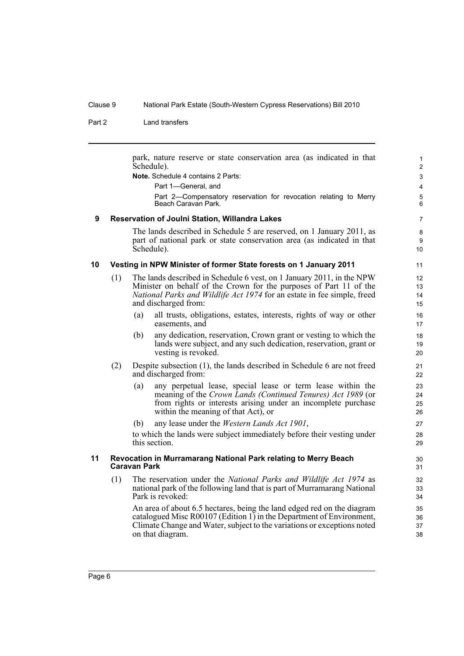Part 2 Land transfers

park, nature reserve or state conservation area (as indicated in that Schedule).

**Note.** Schedule 4 contains 2 Parts:

Part 1—General, and

Part 2—Compensatory reservation for revocation relating to Merry Beach Caravan Park.

#### <span id="page-11-0"></span>**9 Reservation of Joulni Station, Willandra Lakes**

The lands described in Schedule 5 are reserved, on 1 January 2011, as part of national park or state conservation area (as indicated in that Schedule).

#### <span id="page-11-1"></span>**10 Vesting in NPW Minister of former State forests on 1 January 2011**

- (1) The lands described in Schedule 6 vest, on 1 January 2011, in the NPW Minister on behalf of the Crown for the purposes of Part 11 of the *National Parks and Wildlife Act 1974* for an estate in fee simple, freed and discharged from:
	- (a) all trusts, obligations, estates, interests, rights of way or other easements, and
	- (b) any dedication, reservation, Crown grant or vesting to which the lands were subject, and any such dedication, reservation, grant or vesting is revoked.
- (2) Despite subsection (1), the lands described in Schedule 6 are not freed and discharged from:
	- (a) any perpetual lease, special lease or term lease within the meaning of the *Crown Lands (Continued Tenures) Act 1989* (or from rights or interests arising under an incomplete purchase within the meaning of that Act), or
	- (b) any lease under the *Western Lands Act 1901*,

to which the lands were subject immediately before their vesting under this section.

## <span id="page-11-2"></span>**11 Revocation in Murramarang National Park relating to Merry Beach Caravan Park**

(1) The reservation under the *National Parks and Wildlife Act 1974* as national park of the following land that is part of Murramarang National Park is revoked:

An area of about 6.5 hectares, being the land edged red on the diagram catalogued Misc R00107 (Edition 1) in the Department of Environment, Climate Change and Water, subject to the variations or exceptions noted on that diagram.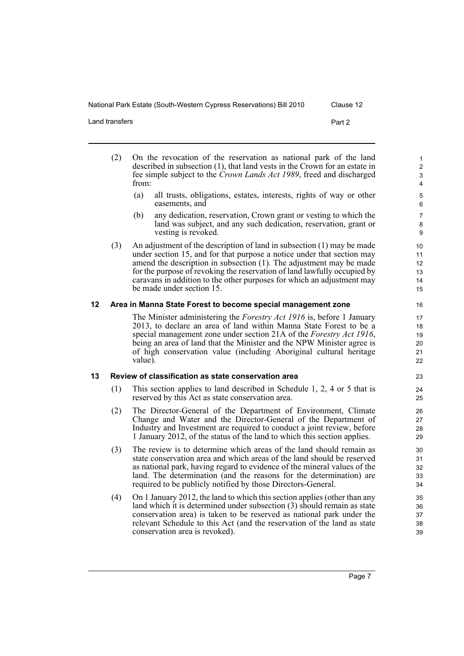Land transfers Part 2

- (2) On the revocation of the reservation as national park of the land described in subsection (1), that land vests in the Crown for an estate in fee simple subject to the *Crown Lands Act 1989*, freed and discharged from:
	- (a) all trusts, obligations, estates, interests, rights of way or other easements, and
	- (b) any dedication, reservation, Crown grant or vesting to which the land was subject, and any such dedication, reservation, grant or vesting is revoked.
- (3) An adjustment of the description of land in subsection (1) may be made under section 15, and for that purpose a notice under that section may amend the description in subsection (1). The adjustment may be made for the purpose of revoking the reservation of land lawfully occupied by caravans in addition to the other purposes for which an adjustment may be made under section 15.

## <span id="page-12-0"></span>**12 Area in Manna State Forest to become special management zone**

The Minister administering the *Forestry Act 1916* is, before 1 January 2013, to declare an area of land within Manna State Forest to be a special management zone under section 21A of the *Forestry Act 1916*, being an area of land that the Minister and the NPW Minister agree is of high conservation value (including Aboriginal cultural heritage value).

## <span id="page-12-1"></span>**13 Review of classification as state conservation area**

- (1) This section applies to land described in Schedule 1, 2, 4 or 5 that is reserved by this Act as state conservation area.
- (2) The Director-General of the Department of Environment, Climate Change and Water and the Director-General of the Department of Industry and Investment are required to conduct a joint review, before 1 January 2012, of the status of the land to which this section applies.
- (3) The review is to determine which areas of the land should remain as state conservation area and which areas of the land should be reserved as national park, having regard to evidence of the mineral values of the land. The determination (and the reasons for the determination) are required to be publicly notified by those Directors-General.
- (4) On 1 January 2012, the land to which this section applies (other than any land which it is determined under subsection (3) should remain as state conservation area) is taken to be reserved as national park under the relevant Schedule to this Act (and the reservation of the land as state conservation area is revoked).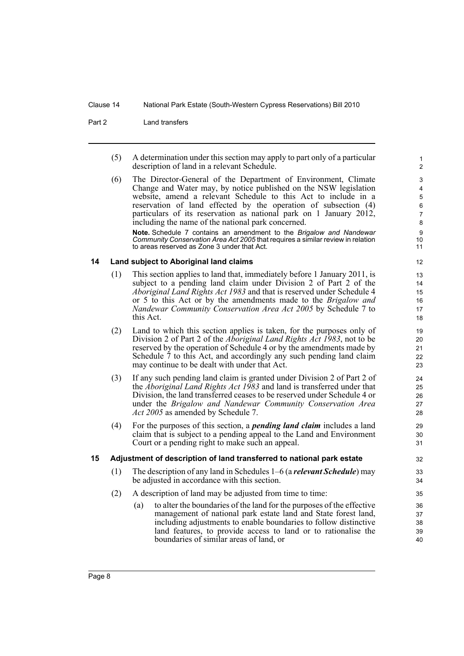Part 2 Land transfers

(5) A determination under this section may apply to part only of a particular description of land in a relevant Schedule.

(6) The Director-General of the Department of Environment, Climate Change and Water may, by notice published on the NSW legislation website, amend a relevant Schedule to this Act to include in a reservation of land effected by the operation of subsection (4) particulars of its reservation as national park on 1 January 2012, including the name of the national park concerned. **Note.** Schedule 7 contains an amendment to the *Brigalow and Nandewar Community Conservation Area Act 2005* that requires a similar review in relation

<span id="page-13-0"></span>to areas reserved as Zone 3 under that Act. **14 Land subject to Aboriginal land claims**

- (1) This section applies to land that, immediately before 1 January 2011, is subject to a pending land claim under Division 2 of Part 2 of the *Aboriginal Land Rights Act 1983* and that is reserved under Schedule 4 or 5 to this Act or by the amendments made to the *Brigalow and Nandewar Community Conservation Area Act 2005* by Schedule 7 to this Act.
- (2) Land to which this section applies is taken, for the purposes only of Division 2 of Part 2 of the *Aboriginal Land Rights Act 1983*, not to be reserved by the operation of Schedule 4 or by the amendments made by Schedule 7 to this Act, and accordingly any such pending land claim may continue to be dealt with under that Act.
- (3) If any such pending land claim is granted under Division 2 of Part 2 of the *Aboriginal Land Rights Act 1983* and land is transferred under that Division, the land transferred ceases to be reserved under Schedule 4 or under the *Brigalow and Nandewar Community Conservation Area Act 2005* as amended by Schedule 7.
- (4) For the purposes of this section, a *pending land claim* includes a land claim that is subject to a pending appeal to the Land and Environment Court or a pending right to make such an appeal.

## <span id="page-13-1"></span>**15 Adjustment of description of land transferred to national park estate**

- (1) The description of any land in Schedules 1–6 (a *relevant Schedule*) may be adjusted in accordance with this section.
- (2) A description of land may be adjusted from time to time:
	- (a) to alter the boundaries of the land for the purposes of the effective management of national park estate land and State forest land, including adjustments to enable boundaries to follow distinctive land features, to provide access to land or to rationalise the boundaries of similar areas of land, or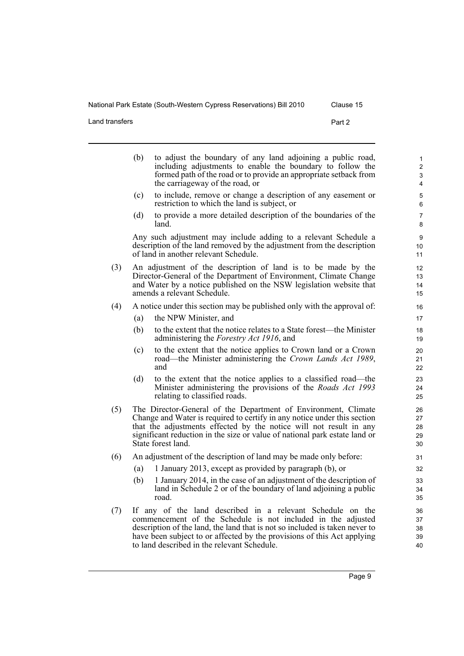Land transfers **Part 2** 

|     | (b) | to adjust the boundary of any land adjoining a public road,<br>including adjustments to enable the boundary to follow the<br>formed path of the road or to provide an appropriate setback from<br>the carriageway of the road, or                                                                                    | 1<br>$\overline{c}$<br>$\mathsf 3$<br>$\overline{\mathbf{4}}$ |
|-----|-----|----------------------------------------------------------------------------------------------------------------------------------------------------------------------------------------------------------------------------------------------------------------------------------------------------------------------|---------------------------------------------------------------|
|     | (c) | to include, remove or change a description of any easement or<br>restriction to which the land is subject, or                                                                                                                                                                                                        | 5<br>$6\phantom{1}$                                           |
|     | (d) | to provide a more detailed description of the boundaries of the<br>land.                                                                                                                                                                                                                                             | $\overline{7}$<br>8                                           |
|     |     | Any such adjustment may include adding to a relevant Schedule a<br>description of the land removed by the adjustment from the description<br>of land in another relevant Schedule.                                                                                                                                   | $\boldsymbol{9}$<br>10<br>11                                  |
| (3) |     | An adjustment of the description of land is to be made by the<br>Director-General of the Department of Environment, Climate Change<br>and Water by a notice published on the NSW legislation website that<br>amends a relevant Schedule.                                                                             | 12<br>13<br>14<br>15                                          |
| (4) |     | A notice under this section may be published only with the approval of:                                                                                                                                                                                                                                              | 16                                                            |
|     | (a) | the NPW Minister, and                                                                                                                                                                                                                                                                                                | 17                                                            |
|     | (b) | to the extent that the notice relates to a State forest—the Minister<br>administering the <i>Forestry Act 1916</i> , and                                                                                                                                                                                             | 18<br>19                                                      |
|     | (c) | to the extent that the notice applies to Crown land or a Crown<br>road—the Minister administering the Crown Lands Act 1989,<br>and                                                                                                                                                                                   | 20<br>21<br>22                                                |
|     | (d) | to the extent that the notice applies to a classified road—the<br>Minister administering the provisions of the Roads Act 1993<br>relating to classified roads.                                                                                                                                                       | 23<br>24<br>25                                                |
| (5) |     | The Director-General of the Department of Environment, Climate<br>Change and Water is required to certify in any notice under this section<br>that the adjustments effected by the notice will not result in any<br>significant reduction in the size or value of national park estate land or<br>State forest land. | 26<br>27<br>28<br>29<br>30                                    |
| (6) |     | An adjustment of the description of land may be made only before:                                                                                                                                                                                                                                                    | 31                                                            |
|     | (a) | 1 January 2013, except as provided by paragraph (b), or                                                                                                                                                                                                                                                              | 32                                                            |
|     | (b) | 1 January 2014, in the case of an adjustment of the description of<br>land in Schedule 2 or of the boundary of land adjoining a public<br>road.                                                                                                                                                                      | 33<br>34<br>35                                                |

(7) If any of the land described in a relevant Schedule on the commencement of the Schedule is not included in the adjusted description of the land, the land that is not so included is taken never to have been subject to or affected by the provisions of this Act applying to land described in the relevant Schedule.

Page 9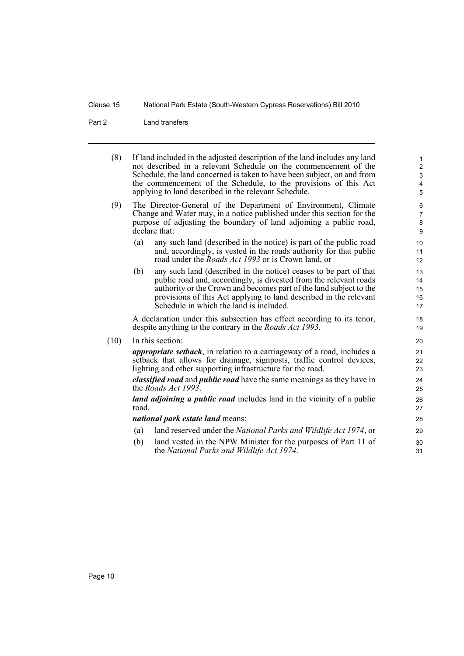Part 2 Land transfers

| (8)  |                                                                                                                                                                                                                                 | If land included in the adjusted description of the land includes any land<br>not described in a relevant Schedule on the commencement of the<br>Schedule, the land concerned is taken to have been subject, on and from<br>the commencement of the Schedule, to the provisions of this Act<br>applying to land described in the relevant Schedule. | $\mathbf{1}$<br>2<br>3<br>4<br>5 |
|------|---------------------------------------------------------------------------------------------------------------------------------------------------------------------------------------------------------------------------------|-----------------------------------------------------------------------------------------------------------------------------------------------------------------------------------------------------------------------------------------------------------------------------------------------------------------------------------------------------|----------------------------------|
| (9)  | The Director-General of the Department of Environment, Climate<br>Change and Water may, in a notice published under this section for the<br>purpose of adjusting the boundary of land adjoining a public road,<br>declare that: |                                                                                                                                                                                                                                                                                                                                                     |                                  |
|      | (a)                                                                                                                                                                                                                             | any such land (described in the notice) is part of the public road<br>and, accordingly, is vested in the roads authority for that public<br>road under the <i>Roads Act 1993</i> or is Crown land, or                                                                                                                                               | 10<br>11<br>12                   |
|      | (b)                                                                                                                                                                                                                             | any such land (described in the notice) ceases to be part of that<br>public road and, accordingly, is divested from the relevant roads<br>authority or the Crown and becomes part of the land subject to the<br>provisions of this Act applying to land described in the relevant<br>Schedule in which the land is included.                        | 13<br>14<br>15<br>16<br>17       |
|      |                                                                                                                                                                                                                                 | A declaration under this subsection has effect according to its tenor,<br>despite anything to the contrary in the <i>Roads Act 1993</i> .                                                                                                                                                                                                           | 18<br>19                         |
| (10) |                                                                                                                                                                                                                                 | In this section:                                                                                                                                                                                                                                                                                                                                    | 20                               |
|      |                                                                                                                                                                                                                                 | <i>appropriate setback</i> , in relation to a carriageway of a road, includes a<br>setback that allows for drainage, signposts, traffic control devices,<br>lighting and other supporting infrastructure for the road.                                                                                                                              | 21<br>22<br>23                   |
|      |                                                                                                                                                                                                                                 | <i>classified road</i> and <i>public road</i> have the same meanings as they have in<br>the Roads Act 1993.                                                                                                                                                                                                                                         | 24<br>25                         |
|      | <i>land adjoining a public road</i> includes land in the vicinity of a public<br>road.                                                                                                                                          |                                                                                                                                                                                                                                                                                                                                                     |                                  |
|      | <i>national park estate land means:</i>                                                                                                                                                                                         |                                                                                                                                                                                                                                                                                                                                                     |                                  |
|      | (a)                                                                                                                                                                                                                             | land reserved under the National Parks and Wildlife Act 1974, or                                                                                                                                                                                                                                                                                    | 29                               |
|      | (b)                                                                                                                                                                                                                             | land vested in the NPW Minister for the purposes of Part 11 of<br>the National Parks and Wildlife Act 1974.                                                                                                                                                                                                                                         | 30<br>31                         |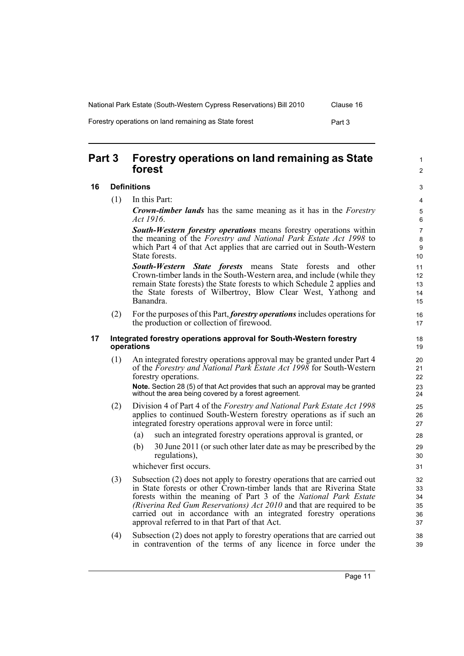| National Park Estate (South-Western Cypress Reservations) Bill 2010 | Clause 16 |
|---------------------------------------------------------------------|-----------|
|                                                                     |           |

Forestry operations on land remaining as State forest Forest Part 3

<span id="page-16-0"></span>**Part 3 Forestry operations on land remaining as State forest**

## <span id="page-16-1"></span>**16 Definitions**

(1) In this Part:

*Crown-timber lands* has the same meaning as it has in the *Forestry Act 1916*.

*South-Western forestry operations* means forestry operations within the meaning of the *Forestry and National Park Estate Act 1998* to which Part  $\overline{4}$  of that Act applies that are carried out in South-Western State forests.

*South-Western State forests* means State forests and other Crown-timber lands in the South-Western area, and include (while they remain State forests) the State forests to which Schedule 2 applies and the State forests of Wilbertroy, Blow Clear West, Yathong and Banandra.

(2) For the purposes of this Part, *forestry operations* includes operations for the production or collection of firewood.

#### <span id="page-16-2"></span>**17 Integrated forestry operations approval for South-Western forestry operations**

(1) An integrated forestry operations approval may be granted under Part 4 of the *Forestry and National Park Estate Act 1998* for South-Western forestry operations.

**Note.** Section 28 (5) of that Act provides that such an approval may be granted without the area being covered by a forest agreement.

- (2) Division 4 of Part 4 of the *Forestry and National Park Estate Act 1998* applies to continued South-Western forestry operations as if such an integrated forestry operations approval were in force until:
	- (a) such an integrated forestry operations approval is granted, or
	- (b) 30 June 2011 (or such other later date as may be prescribed by the regulations),

whichever first occurs.

- (3) Subsection (2) does not apply to forestry operations that are carried out in State forests or other Crown-timber lands that are Riverina State forests within the meaning of Part 3 of the *National Park Estate (Riverina Red Gum Reservations) Act 2010* and that are required to be carried out in accordance with an integrated forestry operations approval referred to in that Part of that Act.
- (4) Subsection (2) does not apply to forestry operations that are carried out in contravention of the terms of any licence in force under the

1  $\mathfrak{p}$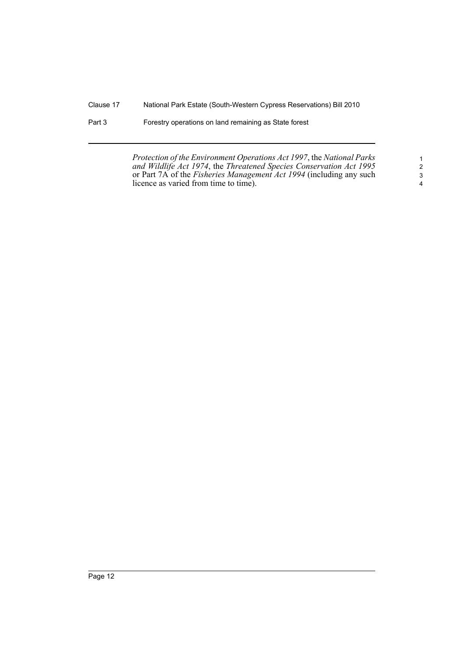Part 3 Forestry operations on land remaining as State forest

*Protection of the Environment Operations Act 1997*, the *National Parks and Wildlife Act 1974*, the *Threatened Species Conservation Act 1995* or Part 7A of the *Fisheries Management Act 1994* (including any such licence as varied from time to time).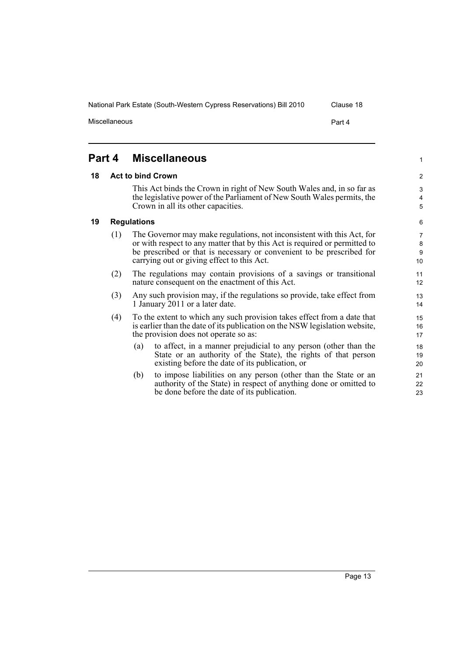1

# <span id="page-18-0"></span>**Part 4 Miscellaneous**

## <span id="page-18-1"></span>**18 Act to bind Crown**

This Act binds the Crown in right of New South Wales and, in so far as the legislative power of the Parliament of New South Wales permits, the Crown in all its other capacities.

## <span id="page-18-2"></span>**19 Regulations**

- (1) The Governor may make regulations, not inconsistent with this Act, for or with respect to any matter that by this Act is required or permitted to be prescribed or that is necessary or convenient to be prescribed for carrying out or giving effect to this Act.
- (2) The regulations may contain provisions of a savings or transitional nature consequent on the enactment of this Act.
- (3) Any such provision may, if the regulations so provide, take effect from 1 January 2011 or a later date.
- (4) To the extent to which any such provision takes effect from a date that is earlier than the date of its publication on the NSW legislation website, the provision does not operate so as:
	- (a) to affect, in a manner prejudicial to any person (other than the State or an authority of the State), the rights of that person existing before the date of its publication, or
	- (b) to impose liabilities on any person (other than the State or an authority of the State) in respect of anything done or omitted to be done before the date of its publication.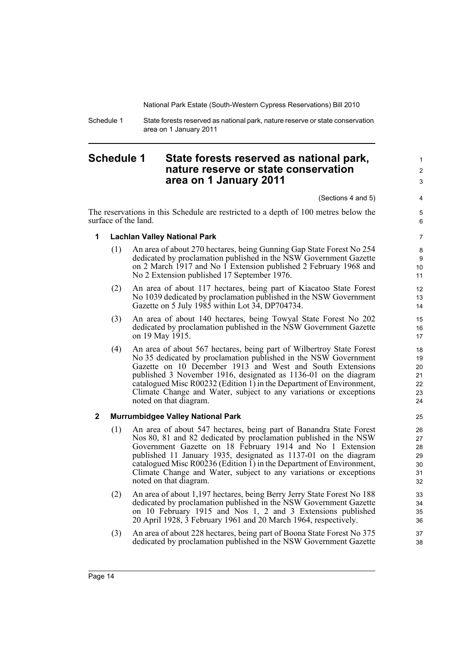Schedule 1 State forests reserved as national park, nature reserve or state conservation area on 1 January 2011

# <span id="page-19-0"></span>**Schedule 1 State forests reserved as national park, nature reserve or state conservation area on 1 January 2011**

(Sections 4 and 5)

The reservations in this Schedule are restricted to a depth of 100 metres below the surface of the land.

7

1  $\mathfrak{p}$ 3

4 5 6

# **1 Lachlan Valley National Park**

- (1) An area of about 270 hectares, being Gunning Gap State Forest No 254 dedicated by proclamation published in the NSW Government Gazette on 2 March 1917 and No 1 Extension published 2 February 1968 and No 2 Extension published 17 September 1976.
- (2) An area of about 117 hectares, being part of Kiacatoo State Forest No 1039 dedicated by proclamation published in the NSW Government Gazette on 5 July 1985 within Lot 34, DP704734.
- (3) An area of about 140 hectares, being Towyal State Forest No 202 dedicated by proclamation published in the NSW Government Gazette on 19 May 1915.
- (4) An area of about 567 hectares, being part of Wilbertroy State Forest No 35 dedicated by proclamation published in the NSW Government Gazette on 10 December 1913 and West and South Extensions published 3 November 1916, designated as 1136-01 on the diagram catalogued Misc R00232 (Edition 1) in the Department of Environment, Climate Change and Water, subject to any variations or exceptions noted on that diagram.

# **2 Murrumbidgee Valley National Park**

- (1) An area of about 547 hectares, being part of Banandra State Forest Nos 80, 81 and 82 dedicated by proclamation published in the NSW Government Gazette on 18 February 1914 and No 1 Extension published 11 January 1935, designated as 1137-01 on the diagram catalogued Misc R00236 (Edition 1) in the Department of Environment, Climate Change and Water, subject to any variations or exceptions noted on that diagram.
- (2) An area of about 1,197 hectares, being Berry Jerry State Forest No 188 dedicated by proclamation published in the NSW Government Gazette on 10 February 1915 and Nos 1, 2 and 3 Extensions published 20 April 1928, 3 February 1961 and 20 March 1964, respectively.
- (3) An area of about 228 hectares, being part of Boona State Forest No 375 dedicated by proclamation published in the NSW Government Gazette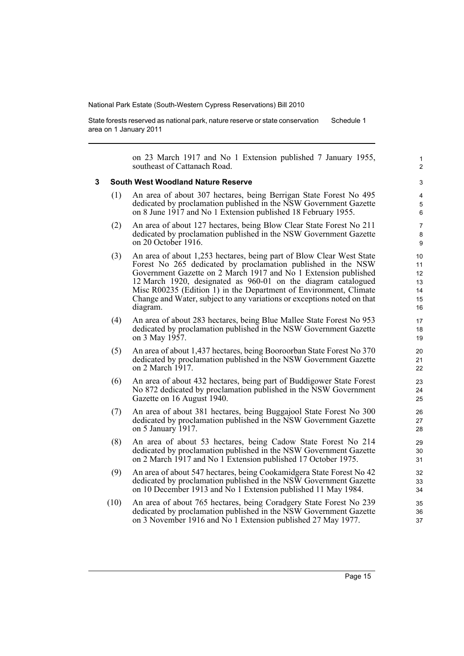State forests reserved as national park, nature reserve or state conservation area on 1 January 2011 Schedule 1

> on 23 March 1917 and No 1 Extension published 7 January 1955, southeast of Cattanach Road.

#### **3 South West Woodland Nature Reserve**

- (1) An area of about 307 hectares, being Berrigan State Forest No 495 dedicated by proclamation published in the NSW Government Gazette on 8 June 1917 and No 1 Extension published 18 February 1955.
- (2) An area of about 127 hectares, being Blow Clear State Forest No 211 dedicated by proclamation published in the NSW Government Gazette on 20 October 1916.
- (3) An area of about 1,253 hectares, being part of Blow Clear West State Forest No 265 dedicated by proclamation published in the NSW Government Gazette on 2 March 1917 and No 1 Extension published 12 March 1920, designated as 960-01 on the diagram catalogued Misc R00235 (Edition 1) in the Department of Environment, Climate Change and Water, subject to any variations or exceptions noted on that diagram.
- (4) An area of about 283 hectares, being Blue Mallee State Forest No 953 dedicated by proclamation published in the NSW Government Gazette on 3 May 1957.
- (5) An area of about 1,437 hectares, being Booroorban State Forest No 370 dedicated by proclamation published in the NSW Government Gazette on 2 March 1917.
- (6) An area of about 432 hectares, being part of Buddigower State Forest No 872 dedicated by proclamation published in the NSW Government Gazette on 16 August 1940.
- (7) An area of about 381 hectares, being Buggajool State Forest No 300 dedicated by proclamation published in the NSW Government Gazette on 5 January 1917.
- (8) An area of about 53 hectares, being Cadow State Forest No 214 dedicated by proclamation published in the NSW Government Gazette on 2 March 1917 and No 1 Extension published 17 October 1975.
- (9) An area of about 547 hectares, being Cookamidgera State Forest No 42 dedicated by proclamation published in the NSW Government Gazette on 10 December 1913 and No 1 Extension published 11 May 1984.
- (10) An area of about 765 hectares, being Coradgery State Forest No 239 dedicated by proclamation published in the NSW Government Gazette on 3 November 1916 and No 1 Extension published 27 May 1977.

1  $\overline{2}$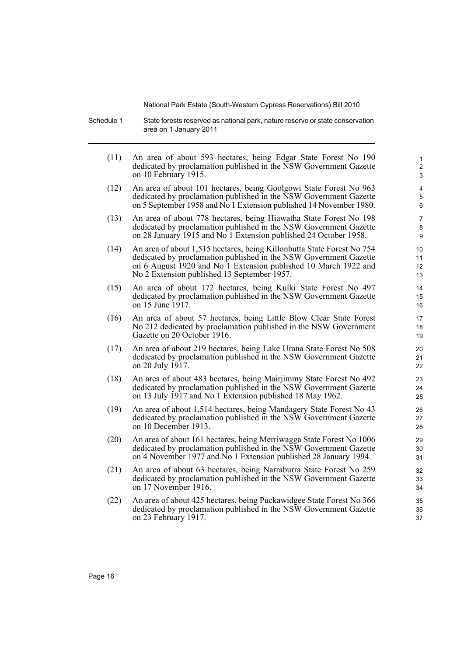Schedule 1 State forests reserved as national park, nature reserve or state conservation area on 1 January 2011

| (11) | An area of about 593 hectares, being Edgar State Forest No 190<br>dedicated by proclamation published in the NSW Government Gazette<br>on 10 February 1915.                                                                                                   | $\mathbf{1}$<br>$\overline{c}$<br>3 |
|------|---------------------------------------------------------------------------------------------------------------------------------------------------------------------------------------------------------------------------------------------------------------|-------------------------------------|
| (12) | An area of about 101 hectares, being Goolgowi State Forest No 963<br>dedicated by proclamation published in the NSW Government Gazette<br>on 5 September 1958 and No 1 Extension published 14 November 1980.                                                  | 4<br>5<br>6                         |
| (13) | An area of about 778 hectares, being Hiawatha State Forest No 198<br>dedicated by proclamation published in the NSW Government Gazette<br>on 28 January 1915 and No 1 Extension published 24 October 1958.                                                    | 7<br>8<br>9                         |
| (14) | An area of about 1,515 hectares, being Killonbutta State Forest No 754<br>dedicated by proclamation published in the NSW Government Gazette<br>on 6 August 1920 and No 1 Extension published 10 March 1922 and<br>No 2 Extension published 13 September 1957. | 10<br>11<br>12<br>13                |
| (15) | An area of about 172 hectares, being Kulki State Forest No 497<br>dedicated by proclamation published in the NSW Government Gazette<br>on 15 June 1917.                                                                                                       | 14<br>15<br>16                      |
| (16) | An area of about 57 hectares, being Little Blow Clear State Forest<br>No 212 dedicated by proclamation published in the NSW Government<br>Gazette on 20 October 1916.                                                                                         | 17<br>18<br>19                      |
| (17) | An area of about 219 hectares, being Lake Urana State Forest No 508<br>dedicated by proclamation published in the NSW Government Gazette<br>on 20 July 1917.                                                                                                  | 20<br>21<br>22                      |
| (18) | An area of about 483 hectares, being Mairjimmy State Forest No 492<br>dedicated by proclamation published in the NSW Government Gazette<br>on 13 July 1917 and No 1 Extension published 18 May 1962.                                                          | 23<br>24<br>25                      |
| (19) | An area of about 1,514 hectares, being Mandagery State Forest No 43<br>dedicated by proclamation published in the NSW Government Gazette<br>on 10 December 1913.                                                                                              | 26<br>27<br>28                      |
| (20) | An area of about 161 hectares, being Merriwagga State Forest No 1006<br>dedicated by proclamation published in the NSW Government Gazette<br>on 4 November 1977 and No 1 Extension published 28 January 1994.                                                 | 29<br>30<br>31                      |
| (21) | An area of about 63 hectares, being Narraburra State Forest No 259<br>dedicated by proclamation published in the NSW Government Gazette<br>on 17 November 1916.                                                                                               | 32<br>33<br>34                      |
| (22) | An area of about 425 hectares, being Puckawidgee State Forest No 366<br>dedicated by proclamation published in the NSW Government Gazette<br>on 23 February 1917.                                                                                             | 35<br>36<br>37                      |
|      |                                                                                                                                                                                                                                                               |                                     |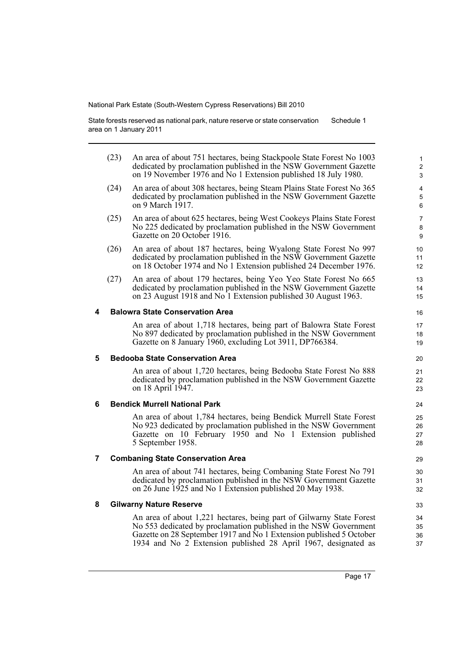State forests reserved as national park, nature reserve or state conservation area on 1 January 2011 Schedule 1

|   | (23) | An area of about 751 hectares, being Stackpoole State Forest No 1003<br>dedicated by proclamation published in the NSW Government Gazette<br>on 19 November 1976 and No 1 Extension published 18 July 1980.                                                                       | $\mathbf{1}$<br>$\overline{a}$<br>3 |
|---|------|-----------------------------------------------------------------------------------------------------------------------------------------------------------------------------------------------------------------------------------------------------------------------------------|-------------------------------------|
|   | (24) | An area of about 308 hectares, being Steam Plains State Forest No 365<br>dedicated by proclamation published in the NSW Government Gazette<br>on 9 March 1917.                                                                                                                    | 4<br>5<br>6                         |
|   | (25) | An area of about 625 hectares, being West Cookeys Plains State Forest<br>No 225 dedicated by proclamation published in the NSW Government<br>Gazette on 20 October 1916.                                                                                                          | 7<br>8<br>9                         |
|   | (26) | An area of about 187 hectares, being Wyalong State Forest No 997<br>dedicated by proclamation published in the NSW Government Gazette<br>on 18 October 1974 and No 1 Extension published 24 December 1976.                                                                        | 10<br>11<br>12 <sup>2</sup>         |
|   | (27) | An area of about 179 hectares, being Yeo Yeo State Forest No 665<br>dedicated by proclamation published in the NSW Government Gazette<br>on 23 August 1918 and No 1 Extension published 30 August 1963.                                                                           | 13<br>14<br>15                      |
| 4 |      | <b>Balowra State Conservation Area</b>                                                                                                                                                                                                                                            | 16                                  |
|   |      | An area of about 1,718 hectares, being part of Balowra State Forest<br>No 897 dedicated by proclamation published in the NSW Government<br>Gazette on 8 January 1960, excluding Lot 3911, DP766384.                                                                               | 17<br>18<br>19                      |
| 5 |      | <b>Bedooba State Conservation Area</b>                                                                                                                                                                                                                                            | 20                                  |
|   |      | An area of about 1,720 hectares, being Bedooba State Forest No 888<br>dedicated by proclamation published in the NSW Government Gazette<br>on 18 April 1947.                                                                                                                      | 21<br>22<br>23                      |
| 6 |      | <b>Bendick Murrell National Park</b>                                                                                                                                                                                                                                              | 24                                  |
|   |      | An area of about 1,784 hectares, being Bendick Murrell State Forest<br>No 923 dedicated by proclamation published in the NSW Government<br>Gazette on 10 February 1950 and No 1 Extension published<br>5 September 1958.                                                          | 25<br>26<br>27<br>28                |
| 7 |      | <b>Combaning State Conservation Area</b>                                                                                                                                                                                                                                          | 29                                  |
|   |      | An area of about 741 hectares, being Combaning State Forest No 791<br>dedicated by proclamation published in the NSW Government Gazette<br>on 26 June 1925 and No 1 Extension published 20 May 1938.                                                                              | 30<br>31<br>32                      |
| 8 |      | <b>Gilwarny Nature Reserve</b>                                                                                                                                                                                                                                                    | 33                                  |
|   |      | An area of about 1,221 hectares, being part of Gilwarny State Forest<br>No 553 dedicated by proclamation published in the NSW Government<br>Gazette on 28 September 1917 and No 1 Extension published 5 October<br>1934 and No 2 Extension published 28 April 1967, designated as | 34<br>35<br>36<br>37                |
|   |      |                                                                                                                                                                                                                                                                                   |                                     |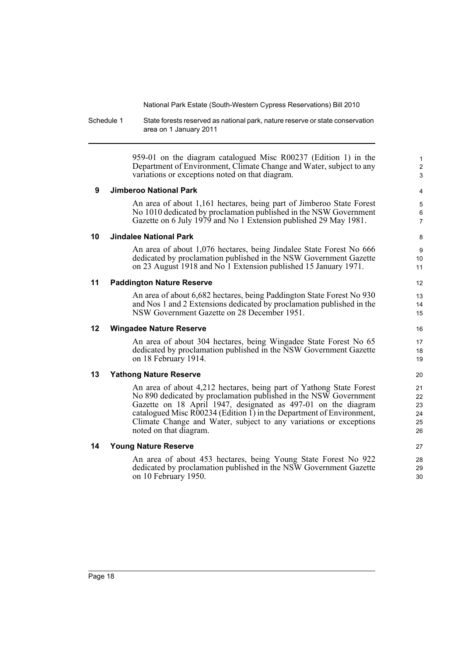Schedule 1 State forests reserved as national park, nature reserve or state conservation area on 1 January 2011

> 959-01 on the diagram catalogued Misc R00237 (Edition 1) in the Department of Environment, Climate Change and Water, subject to any variations or exceptions noted on that diagram.

1 2 3

## **9 Jimberoo National Park**

An area of about 1,161 hectares, being part of Jimberoo State Forest No 1010 dedicated by proclamation published in the NSW Government Gazette on 6 July 1979 and No 1 Extension published 29 May 1981.

## **10 Jindalee National Park**

An area of about 1,076 hectares, being Jindalee State Forest No 666 dedicated by proclamation published in the NSW Government Gazette on 23 August 1918 and No 1 Extension published 15 January 1971.

## **11 Paddington Nature Reserve**

An area of about 6,682 hectares, being Paddington State Forest No 930 and Nos 1 and 2 Extensions dedicated by proclamation published in the NSW Government Gazette on 28 December 1951.

## **12 Wingadee Nature Reserve**

An area of about 304 hectares, being Wingadee State Forest No 65 dedicated by proclamation published in the NSW Government Gazette on 18 February 1914.

# **13 Yathong Nature Reserve**

An area of about 4,212 hectares, being part of Yathong State Forest No 890 dedicated by proclamation published in the NSW Government Gazette on 18 April 1947, designated as 497-01 on the diagram catalogued Misc R00234 (Edition 1) in the Department of Environment, Climate Change and Water, subject to any variations or exceptions noted on that diagram.

## **14 Young Nature Reserve**

An area of about 453 hectares, being Young State Forest No 922 dedicated by proclamation published in the NSW Government Gazette on 10 February 1950.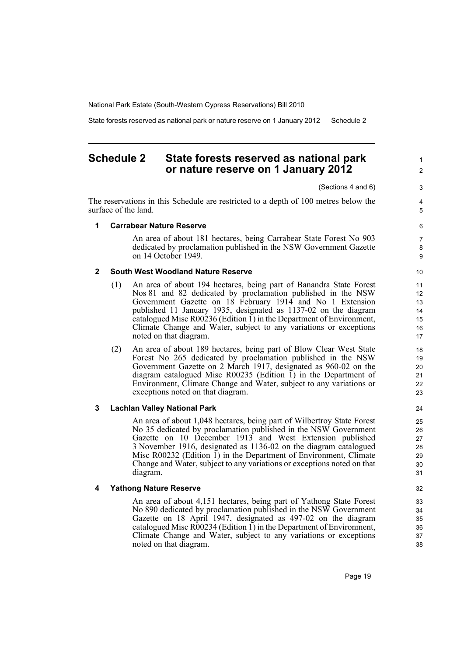State forests reserved as national park or nature reserve on 1 January 2012 Schedule 2

# <span id="page-24-0"></span>**Schedule 2 State forests reserved as national park or nature reserve on 1 January 2012**

(Sections 4 and 6)

The reservations in this Schedule are restricted to a depth of 100 metres below the surface of the land.

5 6

1  $\mathfrak{p}$ 

3 4

# **1 Carrabear Nature Reserve**

An area of about 181 hectares, being Carrabear State Forest No 903 dedicated by proclamation published in the NSW Government Gazette on 14 October 1949.

## **2 South West Woodland Nature Reserve**

- (1) An area of about 194 hectares, being part of Banandra State Forest Nos 81 and 82 dedicated by proclamation published in the NSW Government Gazette on 18 February 1914 and No 1 Extension published 11 January 1935, designated as 1137-02 on the diagram catalogued Misc R00236 (Edition  $\tilde{I}$ ) in the Department of Environment, Climate Change and Water, subject to any variations or exceptions noted on that diagram.
- (2) An area of about 189 hectares, being part of Blow Clear West State Forest No 265 dedicated by proclamation published in the NSW Government Gazette on 2 March 1917, designated as 960-02 on the diagram catalogued Misc R00235 (Edition  $\overline{1}$ ) in the Department of Environment, Climate Change and Water, subject to any variations or exceptions noted on that diagram.

## **3 Lachlan Valley National Park**

An area of about 1,048 hectares, being part of Wilbertroy State Forest No 35 dedicated by proclamation published in the NSW Government Gazette on 10 December 1913 and West Extension published 3 November 1916, designated as 1136-02 on the diagram catalogued Misc R00232 (Edition  $\overline{1}$ ) in the Department of Environment, Climate Change and Water, subject to any variations or exceptions noted on that diagram.

## **4 Yathong Nature Reserve**

An area of about 4,151 hectares, being part of Yathong State Forest No 890 dedicated by proclamation published in the NSW Government Gazette on 18 April 1947, designated as 497-02 on the diagram catalogued Misc  $\angle R00234$  (Edition 1) in the Department of Environment, Climate Change and Water, subject to any variations or exceptions noted on that diagram.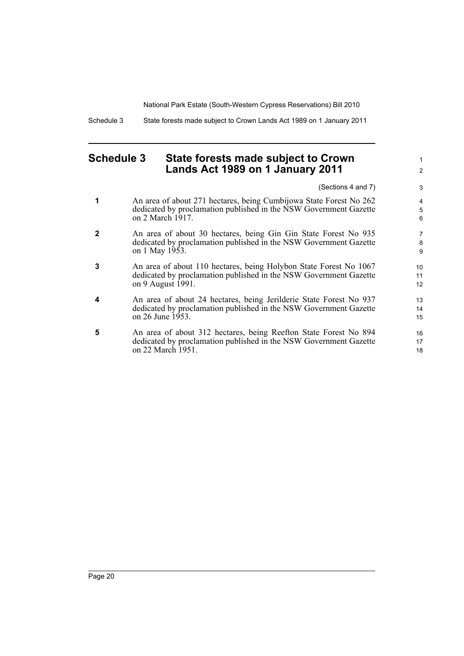Schedule 3 State forests made subject to Crown Lands Act 1989 on 1 January 2011

# <span id="page-25-0"></span>**Schedule 3 State forests made subject to Crown Lands Act 1989 on 1 January 2011**

(Sections 4 and 7)

1 2

- **1** An area of about 271 hectares, being Cumbijowa State Forest No 262 dedicated by proclamation published in the NSW Government Gazette on 2 March 1917.
- **2** An area of about 30 hectares, being Gin Gin State Forest No 935 dedicated by proclamation published in the NSW Government Gazette on 1 May 1953.
- **3** An area of about 110 hectares, being Holybon State Forest No 1067 dedicated by proclamation published in the NSW Government Gazette on 9 August 1991.
- **4** An area of about 24 hectares, being Jerilderie State Forest No 937 dedicated by proclamation published in the NSW Government Gazette on 26 June 1953.
- **5** An area of about 312 hectares, being Reefton State Forest No 894 dedicated by proclamation published in the NSW Government Gazette on 22 March 1951.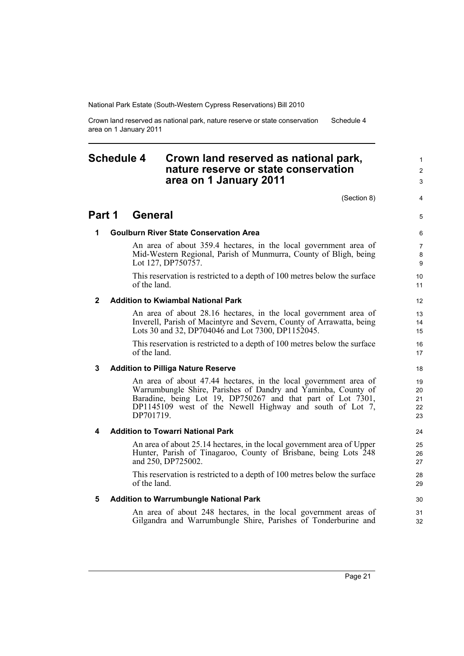Crown land reserved as national park, nature reserve or state conservation area on 1 January 2011 Schedule 4

# <span id="page-26-0"></span>**Schedule 4 Crown land reserved as national park, nature reserve or state conservation area on 1 January 2011**

(Section 8)

4 5

1  $\mathfrak{p}$ 3

# **Part 1 General**

## **1 Goulburn River State Conservation Area**

An area of about 359.4 hectares, in the local government area of Mid-Western Regional, Parish of Munmurra, County of Bligh, being Lot 127, DP750757.

This reservation is restricted to a depth of 100 metres below the surface of the land.

## **2 Addition to Kwiambal National Park**

An area of about 28.16 hectares, in the local government area of Inverell, Parish of Macintyre and Severn, County of Arrawatta, being Lots 30 and 32, DP704046 and Lot 7300, DP1152045.

This reservation is restricted to a depth of 100 metres below the surface of the land.

## **3 Addition to Pilliga Nature Reserve**

An area of about 47.44 hectares, in the local government area of Warrumbungle Shire, Parishes of Dandry and Yaminba, County of Baradine, being Lot 19, DP750267 and that part of Lot 7301, DP1145109 west of the Newell Highway and south of Lot 7, DP701719.

## **4 Addition to Towarri National Park**

An area of about 25.14 hectares, in the local government area of Upper Hunter, Parish of Tinagaroo, County of Brisbane, being Lots 248 and 250, DP725002.

This reservation is restricted to a depth of 100 metres below the surface of the land.

## **5 Addition to Warrumbungle National Park**

An area of about 248 hectares, in the local government areas of Gilgandra and Warrumbungle Shire, Parishes of Tonderburine and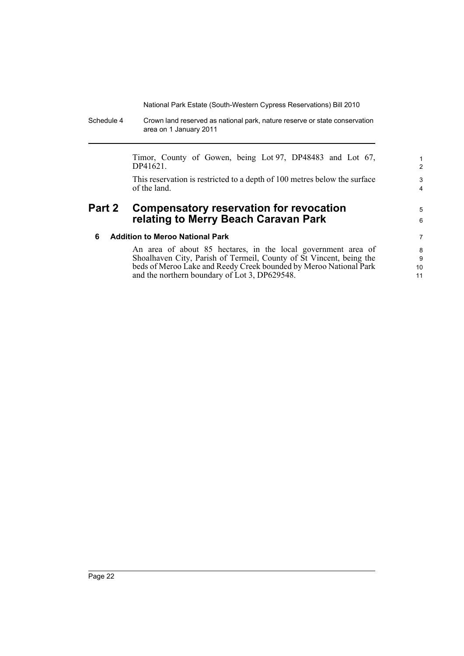Schedule 4 Crown land reserved as national park, nature reserve or state conservation area on 1 January 2011

> Timor, County of Gowen, being Lot 97, DP48483 and Lot 67, DP41621.

5 6

This reservation is restricted to a depth of 100 metres below the surface of the land.

# **Part 2 Compensatory reservation for revocation relating to Merry Beach Caravan Park**

## **6 Addition to Meroo National Park**

An area of about 85 hectares, in the local government area of Shoalhaven City, Parish of Termeil, County of St Vincent, being the beds of Meroo Lake and Reedy Creek bounded by Meroo National Park and the northern boundary of Lot 3, DP629548.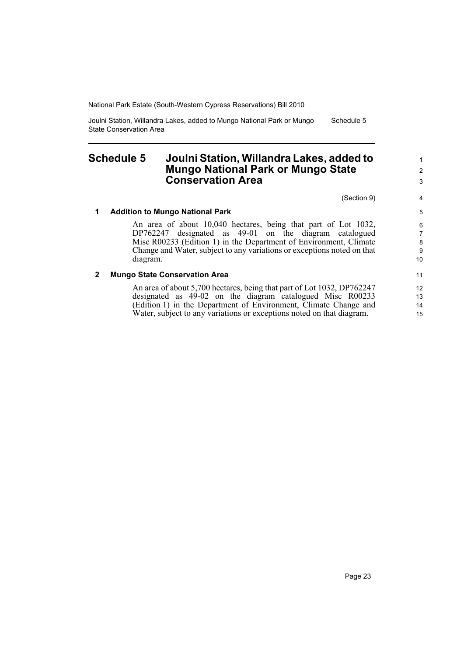Joulni Station, Willandra Lakes, added to Mungo National Park or Mungo State Conservation Area Schedule 5

# <span id="page-28-0"></span>**Schedule 5 Joulni Station, Willandra Lakes, added to Mungo National Park or Mungo State Conservation Area**

(Section 9)

## **1 Addition to Mungo National Park**

An area of about 10,040 hectares, being that part of Lot 1032, DP762247 designated as 49-01 on the diagram catalogued Misc R00233 (Edition 1) in the Department of Environment, Climate Change and Water, subject to any variations or exceptions noted on that diagram.

## **2 Mungo State Conservation Area**

An area of about 5,700 hectares, being that part of Lot 1032, DP762247 designated as 49-02 on the diagram catalogued Misc R00233 (Edition 1) in the Department of Environment, Climate Change and Water, subject to any variations or exceptions noted on that diagram.

7

4

1 2 3

11 12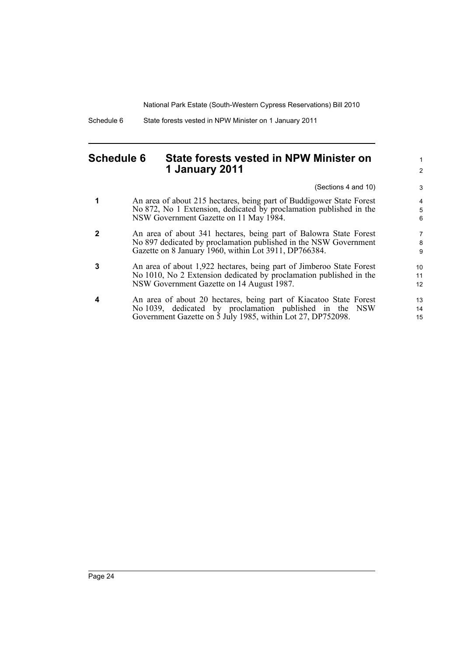Schedule 6 State forests vested in NPW Minister on 1 January 2011

# <span id="page-29-0"></span>**Schedule 6 State forests vested in NPW Minister on 1 January 2011**

(Sections 4 and 10)

1 2

- **1** An area of about 215 hectares, being part of Buddigower State Forest No 872, No 1 Extension, dedicated by proclamation published in the NSW Government Gazette on 11 May 1984.
- **2** An area of about 341 hectares, being part of Balowra State Forest No 897 dedicated by proclamation published in the NSW Government Gazette on 8 January 1960, within Lot 3911, DP766384.
- **3** An area of about 1,922 hectares, being part of Jimberoo State Forest No 1010, No 2 Extension dedicated by proclamation published in the NSW Government Gazette on 14 August 1987.
- **4** An area of about 20 hectares, being part of Kiacatoo State Forest No 1039, dedicated by proclamation published in the NSW Government Gazette on 5 July 1985, within Lot 27, DP752098.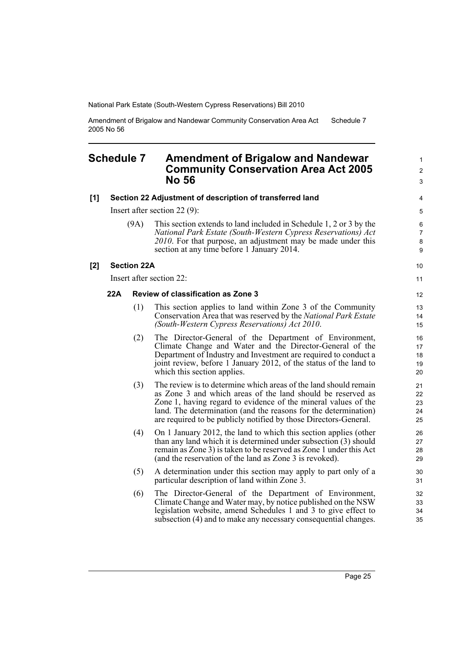Amendment of Brigalow and Nandewar Community Conservation Area Act 2005 No 56 Schedule 7

# <span id="page-30-0"></span>**Schedule 7 Amendment of Brigalow and Nandewar Community Conservation Area Act 2005 No 56**

| [1] |     |                    | Section 22 Adjustment of description of transferred land                                                                                                                                                                                                                                                                                 | 4                                 |
|-----|-----|--------------------|------------------------------------------------------------------------------------------------------------------------------------------------------------------------------------------------------------------------------------------------------------------------------------------------------------------------------------------|-----------------------------------|
|     |     |                    | Insert after section 22 $(9)$ :                                                                                                                                                                                                                                                                                                          | 5                                 |
|     |     | (9A)               | This section extends to land included in Schedule 1, 2 or 3 by the<br>National Park Estate (South-Western Cypress Reservations) Act<br>2010. For that purpose, an adjustment may be made under this<br>section at any time before 1 January 2014.                                                                                        | $\,6$<br>$\overline{7}$<br>8<br>9 |
| [2] |     | <b>Section 22A</b> |                                                                                                                                                                                                                                                                                                                                          | 10                                |
|     |     |                    | Insert after section 22:                                                                                                                                                                                                                                                                                                                 | 11                                |
|     | 22A |                    | <b>Review of classification as Zone 3</b>                                                                                                                                                                                                                                                                                                | 12                                |
|     |     | (1)                | This section applies to land within Zone 3 of the Community<br>Conservation Area that was reserved by the National Park Estate<br>(South-Western Cypress Reservations) Act 2010.                                                                                                                                                         | 13<br>14<br>15                    |
|     |     | (2)                | The Director-General of the Department of Environment,<br>Climate Change and Water and the Director-General of the<br>Department of Industry and Investment are required to conduct a<br>joint review, before 1 January 2012, of the status of the land to<br>which this section applies.                                                | 16<br>17<br>18<br>19<br>20        |
|     |     | (3)                | The review is to determine which areas of the land should remain<br>as Zone 3 and which areas of the land should be reserved as<br>Zone 1, having regard to evidence of the mineral values of the<br>land. The determination (and the reasons for the determination)<br>are required to be publicly notified by those Directors-General. | 21<br>22<br>23<br>24<br>25        |
|     |     | (4)                | On 1 January 2012, the land to which this section applies (other<br>than any land which it is determined under subsection (3) should<br>remain as Zone 3) is taken to be reserved as Zone 1 under this Act<br>(and the reservation of the land as Zone 3 is revoked).                                                                    | 26<br>27<br>28<br>29              |
|     |     | (5)                | A determination under this section may apply to part only of a<br>particular description of land within Zone 3.                                                                                                                                                                                                                          | 30<br>31                          |
|     |     | (6)                | The Director-General of the Department of Environment,<br>Climate Change and Water may, by notice published on the NSW<br>legislation website, amend Schedules 1 and 3 to give effect to<br>subsection (4) and to make any necessary consequential changes.                                                                              | 32<br>33<br>34<br>35              |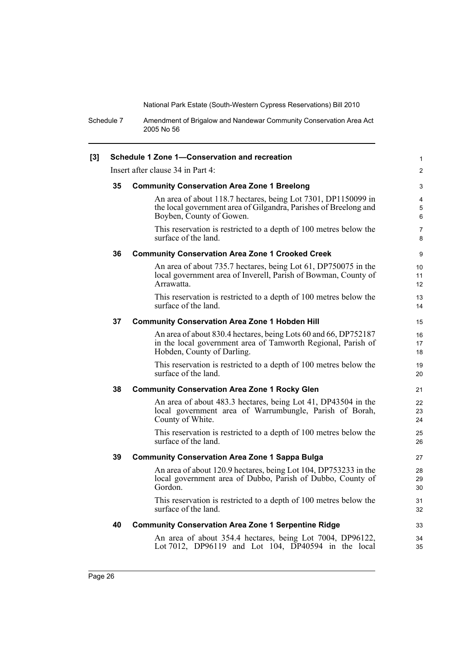Schedule 7 Amendment of Brigalow and Nandewar Community Conservation Area Act 2005 No 56

| [3] | Schedule 1 Zone 1-Conservation and recreation |                                                                                                                                                               |                          |  |
|-----|-----------------------------------------------|---------------------------------------------------------------------------------------------------------------------------------------------------------------|--------------------------|--|
|     |                                               | Insert after clause 34 in Part 4:                                                                                                                             | $\overline{2}$           |  |
|     | 35                                            | <b>Community Conservation Area Zone 1 Breelong</b>                                                                                                            | 3                        |  |
|     |                                               | An area of about 118.7 hectares, being Lot 7301, DP1150099 in<br>the local government area of Gilgandra, Parishes of Breelong and<br>Boyben, County of Gowen. | $\overline{4}$<br>5<br>6 |  |
|     |                                               | This reservation is restricted to a depth of 100 metres below the<br>surface of the land.                                                                     | $\overline{7}$<br>8      |  |
|     | 36                                            | <b>Community Conservation Area Zone 1 Crooked Creek</b>                                                                                                       | 9                        |  |
|     |                                               | An area of about 735.7 hectares, being Lot 61, DP750075 in the<br>local government area of Inverell, Parish of Bowman, County of<br>Arrawatta.                | 10<br>11<br>12           |  |
|     |                                               | This reservation is restricted to a depth of 100 metres below the<br>surface of the land.                                                                     | 13<br>14                 |  |
|     | 37                                            | <b>Community Conservation Area Zone 1 Hobden Hill</b>                                                                                                         | 15                       |  |
|     |                                               | An area of about 830.4 hectares, being Lots 60 and 66, DP752187<br>in the local government area of Tamworth Regional, Parish of<br>Hobden, County of Darling. | 16<br>17<br>18           |  |
|     |                                               | This reservation is restricted to a depth of 100 metres below the<br>surface of the land.                                                                     | 19<br>20                 |  |
|     | 38                                            | <b>Community Conservation Area Zone 1 Rocky Glen</b>                                                                                                          | 21                       |  |
|     |                                               | An area of about 483.3 hectares, being Lot 41, DP43504 in the<br>local government area of Warrumbungle, Parish of Borah,<br>County of White.                  | 22<br>23<br>24           |  |
|     |                                               | This reservation is restricted to a depth of 100 metres below the<br>surface of the land.                                                                     | 25<br>26                 |  |
|     | 39                                            | <b>Community Conservation Area Zone 1 Sappa Bulga</b>                                                                                                         |                          |  |
|     |                                               | An area of about 120.9 hectares, being Lot 104, DP753233 in the<br>local government area of Dubbo, Parish of Dubbo, County of<br>Gordon.                      | 28<br>29<br>30           |  |
|     |                                               | This reservation is restricted to a depth of 100 metres below the<br>surface of the land.                                                                     | 31<br>32                 |  |
|     | 40                                            | <b>Community Conservation Area Zone 1 Serpentine Ridge</b>                                                                                                    | 33                       |  |
|     |                                               | An area of about 354.4 hectares, being Lot 7004, DP96122,<br>Lot 7012, DP96119 and Lot 104, DP40594 in the local                                              | 34<br>35                 |  |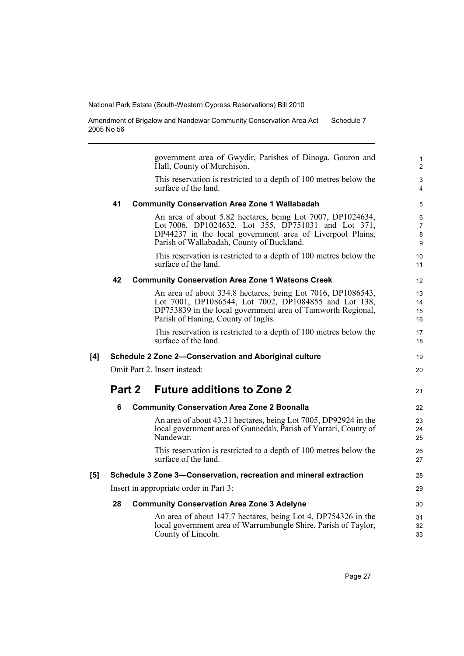Amendment of Brigalow and Nandewar Community Conservation Area Act 2005 No 56 Schedule 7

government area of Gwydir, Parishes of Dinoga, Gouron and Hall, County of Murchison. This reservation is restricted to a depth of 100 metres below the surface of the land. **41 Community Conservation Area Zone 1 Wallabadah** An area of about 5.82 hectares, being Lot 7007, DP1024634, Lot 7006, DP1024632, Lot 355, DP751031 and Lot 371, DP44237 in the local government area of Liverpool Plains, Parish of Wallabadah, County of Buckland. This reservation is restricted to a depth of 100 metres below the surface of the land. **42 Community Conservation Area Zone 1 Watsons Creek** An area of about 334.8 hectares, being Lot 7016, DP1086543, Lot 7001, DP1086544, Lot 7002, DP1084855 and Lot 138, DP753839 in the local government area of Tamworth Regional, Parish of Haning, County of Inglis. This reservation is restricted to a depth of 100 metres below the surface of the land. **[4] Schedule 2 Zone 2—Conservation and Aboriginal culture** Omit Part 2. Insert instead: **Part 2 Future additions to Zone 2 6 Community Conservation Area Zone 2 Boonalla** An area of about 43.31 hectares, being Lot 7005, DP92924 in the local government area of Gunnedah, Parish of Yarrari, County of Nandewar. This reservation is restricted to a depth of 100 metres below the surface of the land. **[5] Schedule 3 Zone 3—Conservation, recreation and mineral extraction** Insert in appropriate order in Part 3: **28 Community Conservation Area Zone 3 Adelyne** An area of about 147.7 hectares, being Lot 4, DP754326 in the 10 11 12 13 14 15 16 17 18 19  $20$ 21  $22$ 23 24 25 26 27 28 29 30 31

local government area of Warrumbungle Shire, Parish of Taylor,

County of Lincoln.

32 33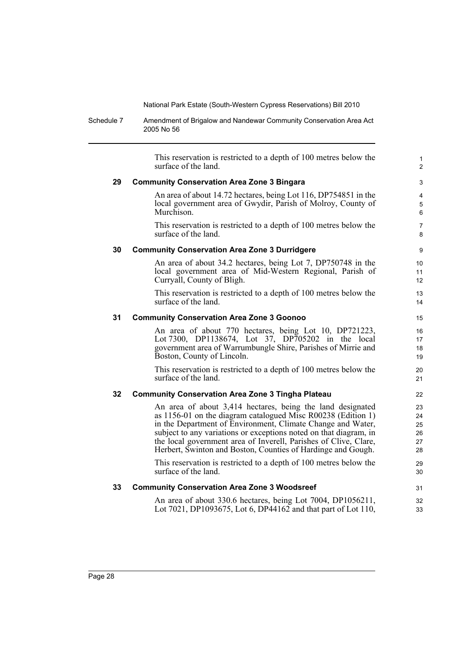Schedule 7 Amendment of Brigalow and Nandewar Community Conservation Area Act 2005 No 56

This reservation is restricted to a depth of 100 metres below the surface of the land. **29 Community Conservation Area Zone 3 Bingara** An area of about 14.72 hectares, being Lot 116, DP754851 in the local government area of Gwydir, Parish of Molroy, County of Murchison. This reservation is restricted to a depth of 100 metres below the surface of the land. **30 Community Conservation Area Zone 3 Durridgere** An area of about 34.2 hectares, being Lot 7, DP750748 in the local government area of Mid-Western Regional, Parish of Curryall, County of Bligh. This reservation is restricted to a depth of 100 metres below the surface of the land. **31 Community Conservation Area Zone 3 Goonoo** An area of about 770 hectares, being Lot 10, DP721223, Lot 7300, DP1138674, Lot 37, DP705202 in the local government area of Warrumbungle Shire, Parishes of Mirrie and Boston, County of Lincoln. This reservation is restricted to a depth of 100 metres below the surface of the land. **32 Community Conservation Area Zone 3 Tingha Plateau** An area of about 3,414 hectares, being the land designated as 1156-01 on the diagram catalogued Misc R00238 (Edition 1) in the Department of Environment, Climate Change and Water, subject to any variations or exceptions noted on that diagram, in the local government area of Inverell, Parishes of Clive, Clare, Herbert, Swinton and Boston, Counties of Hardinge and Gough. This reservation is restricted to a depth of 100 metres below the surface of the land. **33 Community Conservation Area Zone 3 Woodsreef** 1  $\overline{2}$ 3 4 5 6 7 8 9  $10$ 11 12 13 14 15 16 17 18 19  $20$ 21 22 23 24 25 26 27 28 29 30 31

> An area of about 330.6 hectares, being Lot 7004, DP1056211, Lot 7021, DP1093675, Lot 6, DP44162 and that part of Lot 110,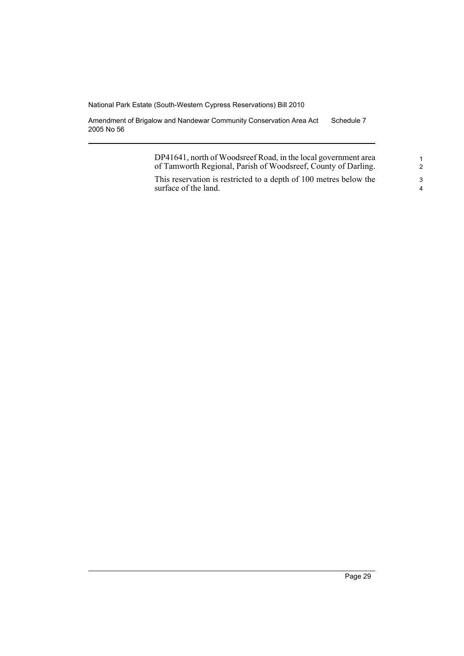Amendment of Brigalow and Nandewar Community Conservation Area Act 2005 No 56 Schedule 7

> DP41641, north of Woodsreef Road, in the local government area of Tamworth Regional, Parish of Woodsreef, County of Darling.

This reservation is restricted to a depth of 100 metres below the surface of the land.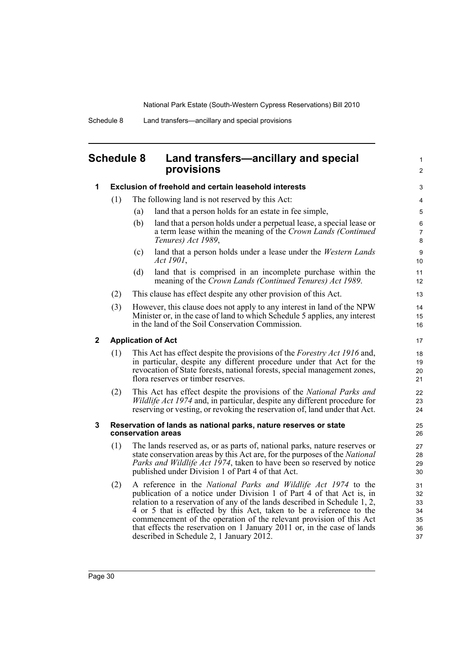1 2

# <span id="page-35-0"></span>**Schedule 8 Land transfers—ancillary and special provisions**

| 1 |                           | <b>Exclusion of freehold and certain leasehold interests</b>                                                                                                                                                                                                                                                                                                                                                                                                                              | 3                                      |  |
|---|---------------------------|-------------------------------------------------------------------------------------------------------------------------------------------------------------------------------------------------------------------------------------------------------------------------------------------------------------------------------------------------------------------------------------------------------------------------------------------------------------------------------------------|----------------------------------------|--|
|   | (1)                       | The following land is not reserved by this Act:                                                                                                                                                                                                                                                                                                                                                                                                                                           |                                        |  |
|   |                           | land that a person holds for an estate in fee simple,<br>(a)                                                                                                                                                                                                                                                                                                                                                                                                                              | 5                                      |  |
|   |                           | land that a person holds under a perpetual lease, a special lease or<br>(b)<br>a term lease within the meaning of the Crown Lands (Continued<br>Tenures) Act 1989,                                                                                                                                                                                                                                                                                                                        | 6<br>$\overline{7}$<br>8               |  |
|   |                           | (c)<br>land that a person holds under a lease under the <i>Western Lands</i><br>Act 1901,                                                                                                                                                                                                                                                                                                                                                                                                 | $\boldsymbol{9}$<br>10                 |  |
|   |                           | land that is comprised in an incomplete purchase within the<br>(d)<br>meaning of the Crown Lands (Continued Tenures) Act 1989.                                                                                                                                                                                                                                                                                                                                                            | 11<br>12                               |  |
|   | (2)                       | This clause has effect despite any other provision of this Act.                                                                                                                                                                                                                                                                                                                                                                                                                           |                                        |  |
|   | (3)                       | However, this clause does not apply to any interest in land of the NPW<br>Minister or, in the case of land to which Schedule 5 applies, any interest<br>in the land of the Soil Conservation Commission.                                                                                                                                                                                                                                                                                  | 14<br>15<br>16                         |  |
| 2 | <b>Application of Act</b> |                                                                                                                                                                                                                                                                                                                                                                                                                                                                                           |                                        |  |
|   | (1)                       | This Act has effect despite the provisions of the <i>Forestry Act 1916</i> and,<br>in particular, despite any different procedure under that Act for the<br>revocation of State forests, national forests, special management zones,<br>flora reserves or timber reserves.                                                                                                                                                                                                                | 18<br>19<br>20<br>21                   |  |
|   | (2)                       | This Act has effect despite the provisions of the National Parks and<br><i>Wildlife Act 1974</i> and, in particular, despite any different procedure for<br>reserving or vesting, or revoking the reservation of, land under that Act.                                                                                                                                                                                                                                                    | 22<br>23<br>24                         |  |
| 3 |                           | Reservation of lands as national parks, nature reserves or state<br>conservation areas                                                                                                                                                                                                                                                                                                                                                                                                    | 25<br>26                               |  |
|   | (1)                       | The lands reserved as, or as parts of, national parks, nature reserves or<br>state conservation areas by this Act are, for the purposes of the National<br>Parks and Wildlife Act 1974, taken to have been so reserved by notice<br>published under Division 1 of Part 4 of that Act.                                                                                                                                                                                                     | 27<br>28<br>29<br>30                   |  |
|   | (2)                       | A reference in the National Parks and Wildlife Act 1974 to the<br>publication of a notice under Division 1 of Part 4 of that Act is, in<br>relation to a reservation of any of the lands described in Schedule 1, 2,<br>4 or 5 that is effected by this Act, taken to be a reference to the<br>commencement of the operation of the relevant provision of this Act<br>that effects the reservation on 1 January 2011 or, in the case of lands<br>described in Schedule 2, 1 January 2012. | 31<br>32<br>33<br>34<br>35<br>36<br>37 |  |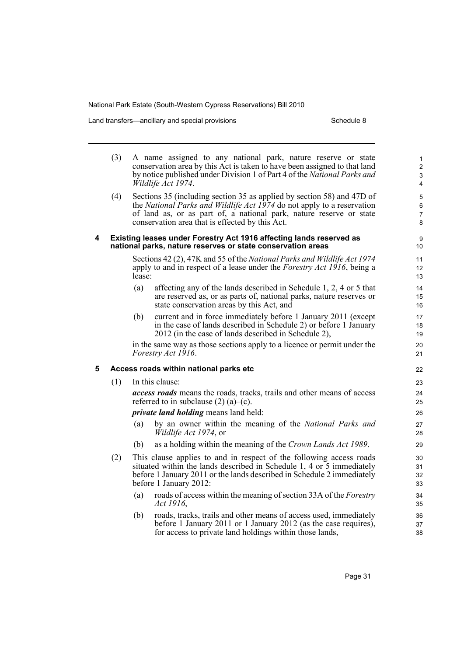Land transfers—ancillary and special provisions example 3 Schedule 8

|   | (3)                                                                                                                                | A name assigned to any national park, nature reserve or state<br>conservation area by this Act is taken to have been assigned to that land<br>by notice published under Division 1 of Part 4 of the National Parks and<br>Wildlife Act 1974.                               |                                                                                                                                                                                                                                                  |                                 |  |
|---|------------------------------------------------------------------------------------------------------------------------------------|----------------------------------------------------------------------------------------------------------------------------------------------------------------------------------------------------------------------------------------------------------------------------|--------------------------------------------------------------------------------------------------------------------------------------------------------------------------------------------------------------------------------------------------|---------------------------------|--|
|   | (4)                                                                                                                                | Sections 35 (including section 35 as applied by section 58) and 47D of<br>the National Parks and Wildlife Act 1974 do not apply to a reservation<br>of land as, or as part of, a national park, nature reserve or state<br>conservation area that is effected by this Act. |                                                                                                                                                                                                                                                  | 5<br>6<br>$\boldsymbol{7}$<br>8 |  |
| 4 | Existing leases under Forestry Act 1916 affecting lands reserved as<br>national parks, nature reserves or state conservation areas |                                                                                                                                                                                                                                                                            |                                                                                                                                                                                                                                                  |                                 |  |
|   |                                                                                                                                    | lease:                                                                                                                                                                                                                                                                     | Sections 42 (2), 47K and 55 of the National Parks and Wildlife Act 1974<br>apply to and in respect of a lease under the <i>Forestry Act 1916</i> , being a                                                                                       | 11<br>12<br>13                  |  |
|   |                                                                                                                                    | (a)                                                                                                                                                                                                                                                                        | affecting any of the lands described in Schedule 1, 2, 4 or 5 that<br>are reserved as, or as parts of, national parks, nature reserves or<br>state conservation areas by this Act, and                                                           | 14<br>15<br>16                  |  |
|   |                                                                                                                                    | (b)                                                                                                                                                                                                                                                                        | current and in force immediately before 1 January 2011 (except<br>in the case of lands described in Schedule 2) or before 1 January<br>2012 (in the case of lands described in Schedule 2),                                                      | 17<br>18<br>19                  |  |
|   |                                                                                                                                    |                                                                                                                                                                                                                                                                            | in the same way as those sections apply to a licence or permit under the<br>Forestry Act 1916.                                                                                                                                                   | 20<br>21                        |  |
| 5 | Access roads within national parks etc                                                                                             |                                                                                                                                                                                                                                                                            |                                                                                                                                                                                                                                                  |                                 |  |
|   | (1)                                                                                                                                | In this clause:                                                                                                                                                                                                                                                            |                                                                                                                                                                                                                                                  | 23                              |  |
|   |                                                                                                                                    |                                                                                                                                                                                                                                                                            | <i>access roads</i> means the roads, tracks, trails and other means of access<br>referred to in subclause $(2)$ (a)–(c).                                                                                                                         | 24<br>25                        |  |
|   |                                                                                                                                    |                                                                                                                                                                                                                                                                            | <i>private land holding</i> means land held:                                                                                                                                                                                                     | 26                              |  |
|   |                                                                                                                                    | (a)                                                                                                                                                                                                                                                                        | by an owner within the meaning of the <i>National Parks and</i><br><i>Wildlife Act 1974</i> , or                                                                                                                                                 | 27<br>28                        |  |
|   |                                                                                                                                    | (b)                                                                                                                                                                                                                                                                        | as a holding within the meaning of the Crown Lands Act 1989.                                                                                                                                                                                     | 29                              |  |
|   | (2)                                                                                                                                |                                                                                                                                                                                                                                                                            | This clause applies to and in respect of the following access roads<br>situated within the lands described in Schedule 1, 4 or 5 immediately<br>before 1 January 2011 or the lands described in Schedule 2 immediately<br>before 1 January 2012: | 30<br>31<br>32<br>33            |  |
|   |                                                                                                                                    | (a)                                                                                                                                                                                                                                                                        | roads of access within the meaning of section 33A of the Forestry<br>Act 1916,                                                                                                                                                                   | 34<br>35                        |  |
|   |                                                                                                                                    | (b)                                                                                                                                                                                                                                                                        | roads, tracks, trails and other means of access used, immediately<br>before 1 January 2011 or 1 January 2012 (as the case requires),<br>for access to private land holdings within those lands,                                                  | 36<br>37<br>38                  |  |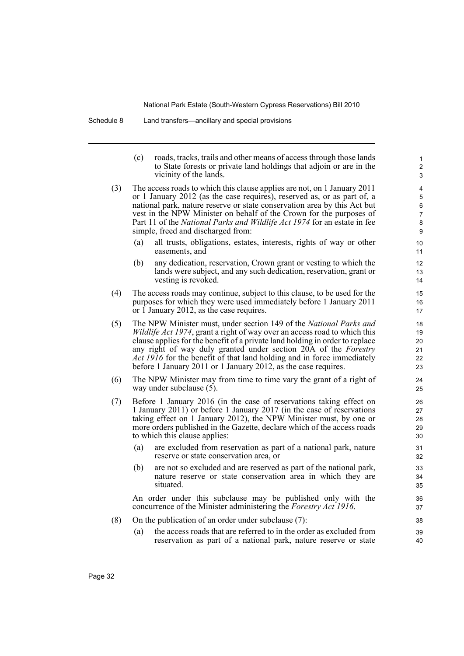Schedule 8 Land transfers—ancillary and special provisions

(c) roads, tracks, trails and other means of access through those lands to State forests or private land holdings that adjoin or are in the vicinity of the lands.

- (3) The access roads to which this clause applies are not, on 1 January 2011 or 1 January 2012 (as the case requires), reserved as, or as part of, a national park, nature reserve or state conservation area by this Act but vest in the NPW Minister on behalf of the Crown for the purposes of Part 11 of the *National Parks and Wildlife Act 1974* for an estate in fee simple, freed and discharged from:
	- (a) all trusts, obligations, estates, interests, rights of way or other easements, and
	- (b) any dedication, reservation, Crown grant or vesting to which the lands were subject, and any such dedication, reservation, grant or vesting is revoked.
- (4) The access roads may continue, subject to this clause, to be used for the purposes for which they were used immediately before 1 January 2011 or 1 January 2012, as the case requires.
- (5) The NPW Minister must, under section 149 of the *National Parks and Wildlife Act 1974*, grant a right of way over an access road to which this clause applies for the benefit of a private land holding in order to replace any right of way duly granted under section 20A of the *Forestry Act 1916* for the benefit of that land holding and in force immediately before 1 January 2011 or 1 January 2012, as the case requires.
- (6) The NPW Minister may from time to time vary the grant of a right of way under subclause (5).
- (7) Before 1 January 2016 (in the case of reservations taking effect on 1 January 2011) or before 1 January 2017 (in the case of reservations taking effect on 1 January 2012), the NPW Minister must, by one or more orders published in the Gazette, declare which of the access roads to which this clause applies:
	- (a) are excluded from reservation as part of a national park, nature reserve or state conservation area, or
	- (b) are not so excluded and are reserved as part of the national park, nature reserve or state conservation area in which they are situated.

An order under this subclause may be published only with the concurrence of the Minister administering the *Forestry Act 1916*.

- (8) On the publication of an order under subclause (7):
	- (a) the access roads that are referred to in the order as excluded from reservation as part of a national park, nature reserve or state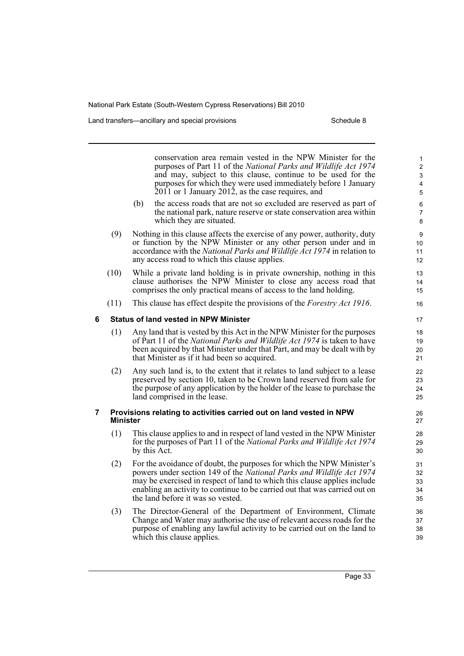Land transfers—ancillary and special provisions New Schedule 8

which this clause applies.

conservation area remain vested in the NPW Minister for the purposes of Part 11 of the *National Parks and Wildlife Act 1974* and may, subject to this clause, continue to be used for the purposes for which they were used immediately before 1 January  $2011$  or 1 January 2012, as the case requires, and (b) the access roads that are not so excluded are reserved as part of the national park, nature reserve or state conservation area within which they are situated. (9) Nothing in this clause affects the exercise of any power, authority, duty or function by the NPW Minister or any other person under and in accordance with the *National Parks and Wildlife Act 1974* in relation to any access road to which this clause applies. (10) While a private land holding is in private ownership, nothing in this clause authorises the NPW Minister to close any access road that comprises the only practical means of access to the land holding. (11) This clause has effect despite the provisions of the *Forestry Act 1916*. **6 Status of land vested in NPW Minister** (1) Any land that is vested by this Act in the NPW Minister for the purposes of Part 11 of the *National Parks and Wildlife Act 1974* is taken to have been acquired by that Minister under that Part, and may be dealt with by that Minister as if it had been so acquired. (2) Any such land is, to the extent that it relates to land subject to a lease preserved by section 10, taken to be Crown land reserved from sale for the purpose of any application by the holder of the lease to purchase the land comprised in the lease. **7 Provisions relating to activities carried out on land vested in NPW Minister** (1) This clause applies to and in respect of land vested in the NPW Minister for the purposes of Part 11 of the *National Parks and Wildlife Act 1974* by this Act. (2) For the avoidance of doubt, the purposes for which the NPW Minister's powers under section 149 of the *National Parks and Wildlife Act 1974* may be exercised in respect of land to which this clause applies include enabling an activity to continue to be carried out that was carried out on the land before it was so vested. (3) The Director-General of the Department of Environment, Climate Change and Water may authorise the use of relevant access roads for the purpose of enabling any lawful activity to be carried out on the land to 1 2 3 4 5 6 7 8 9 10 11 12 13 14 15 16 17 18 19 20 21 22 23 24 25 26 27  $28$ 29 30 31 32 33 34 35 36 37 38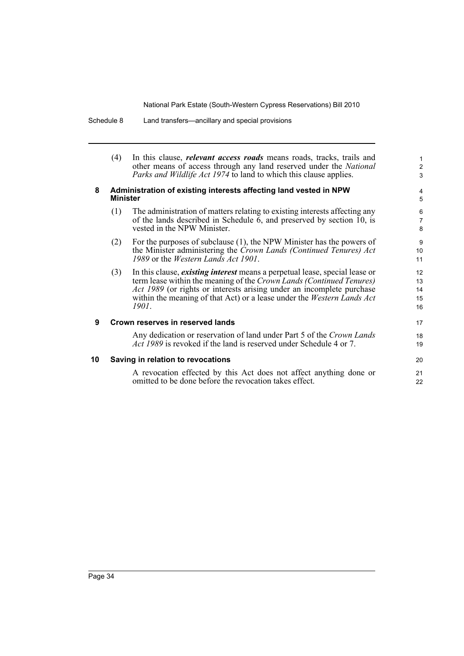Schedule 8 Land transfers—ancillary and special provisions

|    | (4)                                                                                  | In this clause, <i>relevant access roads</i> means roads, tracks, trails and<br>other means of access through any land reserved under the National<br><i>Parks and Wildlife Act 1974</i> to land to which this clause applies.                                                                                                       | $\mathbf{1}$<br>$\overline{a}$<br>3 |
|----|--------------------------------------------------------------------------------------|--------------------------------------------------------------------------------------------------------------------------------------------------------------------------------------------------------------------------------------------------------------------------------------------------------------------------------------|-------------------------------------|
| 8  | Administration of existing interests affecting land vested in NPW<br><b>Minister</b> |                                                                                                                                                                                                                                                                                                                                      |                                     |
|    | (1)                                                                                  | The administration of matters relating to existing interests affecting any<br>of the lands described in Schedule 6, and preserved by section 10, is<br>vested in the NPW Minister.                                                                                                                                                   | 6<br>$\overline{7}$<br>8            |
|    | (2)                                                                                  | For the purposes of subclause $(1)$ , the NPW Minister has the powers of<br>the Minister administering the Crown Lands (Continued Tenures) Act<br>1989 or the Western Lands Act 1901.                                                                                                                                                | 9<br>10<br>11                       |
|    | (3)                                                                                  | In this clause, <i>existing interest</i> means a perpetual lease, special lease or<br>term lease within the meaning of the Crown Lands (Continued Tenures)<br><i>Act 1989</i> (or rights or interests arising under an incomplete purchase<br>within the meaning of that Act) or a lease under the <i>Western Lands Act</i><br>1901. | 12<br>13<br>14<br>15<br>16          |
| 9  | Crown reserves in reserved lands                                                     |                                                                                                                                                                                                                                                                                                                                      |                                     |
|    |                                                                                      | Any dedication or reservation of land under Part 5 of the Crown Lands<br><i>Act 1989</i> is revoked if the land is reserved under Schedule 4 or 7.                                                                                                                                                                                   | 18<br>19                            |
| 10 | Saving in relation to revocations                                                    |                                                                                                                                                                                                                                                                                                                                      |                                     |
|    |                                                                                      | A revocation effected by this Act does not affect anything done or<br>omitted to be done before the revocation takes effect.                                                                                                                                                                                                         | 21<br>22                            |